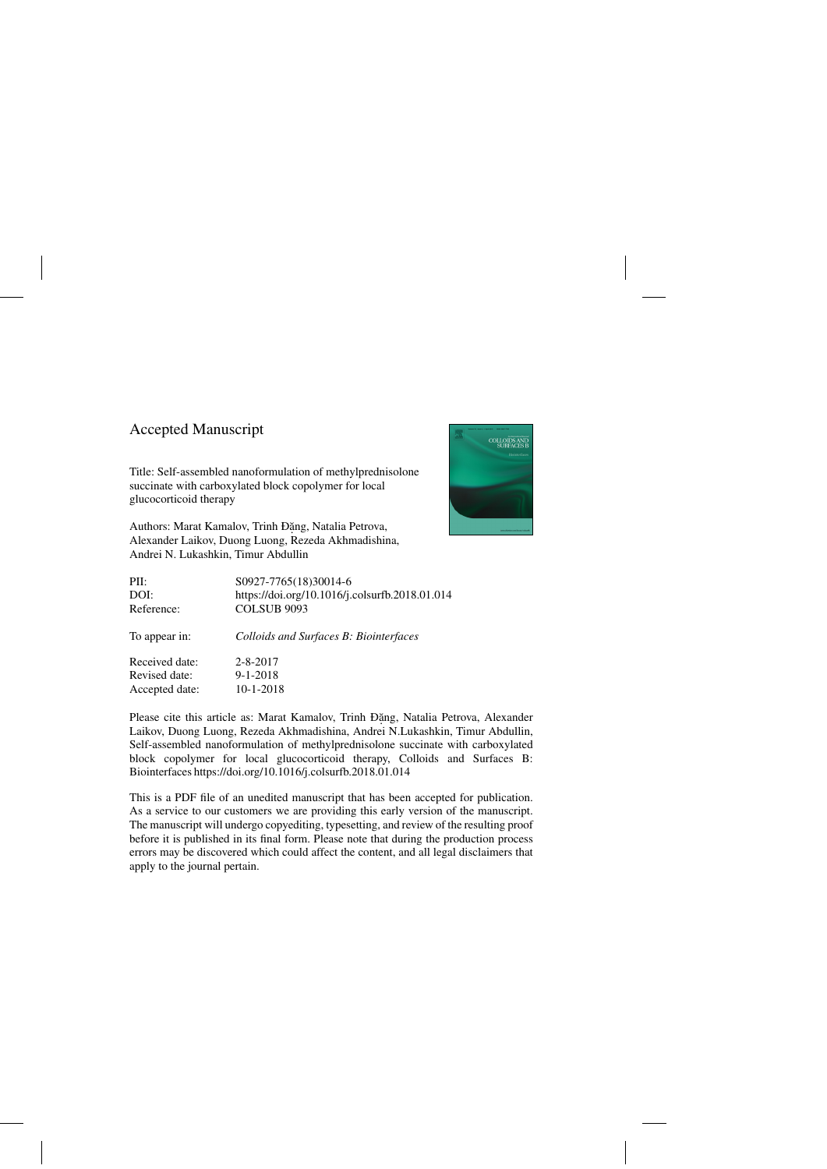### Accepted Manuscript

Title: Self-assembled nanoformulation of methylprednisolone succinate with carboxylated block copolymer for local glucocorticoid therapy

Authors: Marat Kamalov, Trinh Đặng, Natalia Petrova, Alexander Laikov, Duong Luong, Rezeda Akhmadishina, Andrei N. Lukashkin, Timur Abdullin



| PII:           | S0927-7765(18)30014-6                          |
|----------------|------------------------------------------------|
| DOI:           | https://doi.org/10.1016/j.colsurfb.2018.01.014 |
| Reference:     | <b>COLSUB 9093</b>                             |
| To appear in:  | Colloids and Surfaces B: Biointerfaces         |
| Received date: | $2 - 8 - 2017$                                 |
| Revised date:  | $9 - 1 - 2018$                                 |
| Accepted date: | 10-1-2018                                      |

Please cite this article as: Marat Kamalov, Trinh Đặng, Natalia Petrova, Alexander Laikov, Duong Luong, Rezeda Akhmadishina, Andrei N.Lukashkin, Timur Abdullin, Self-assembled nanoformulation of methylprednisolone succinate with carboxylated block copolymer for local glucocorticoid therapy, Colloids and Surfaces B: Biointerfaces<https://doi.org/10.1016/j.colsurfb.2018.01.014>

This is a PDF file of an unedited manuscript that has been accepted for publication. As a service to our customers we are providing this early version of the manuscript. The manuscript will undergo copyediting, typesetting, and review of the resulting proof before it is published in its final form. Please note that during the production process errors may be discovered which could affect the content, and all legal disclaimers that apply to the journal pertain.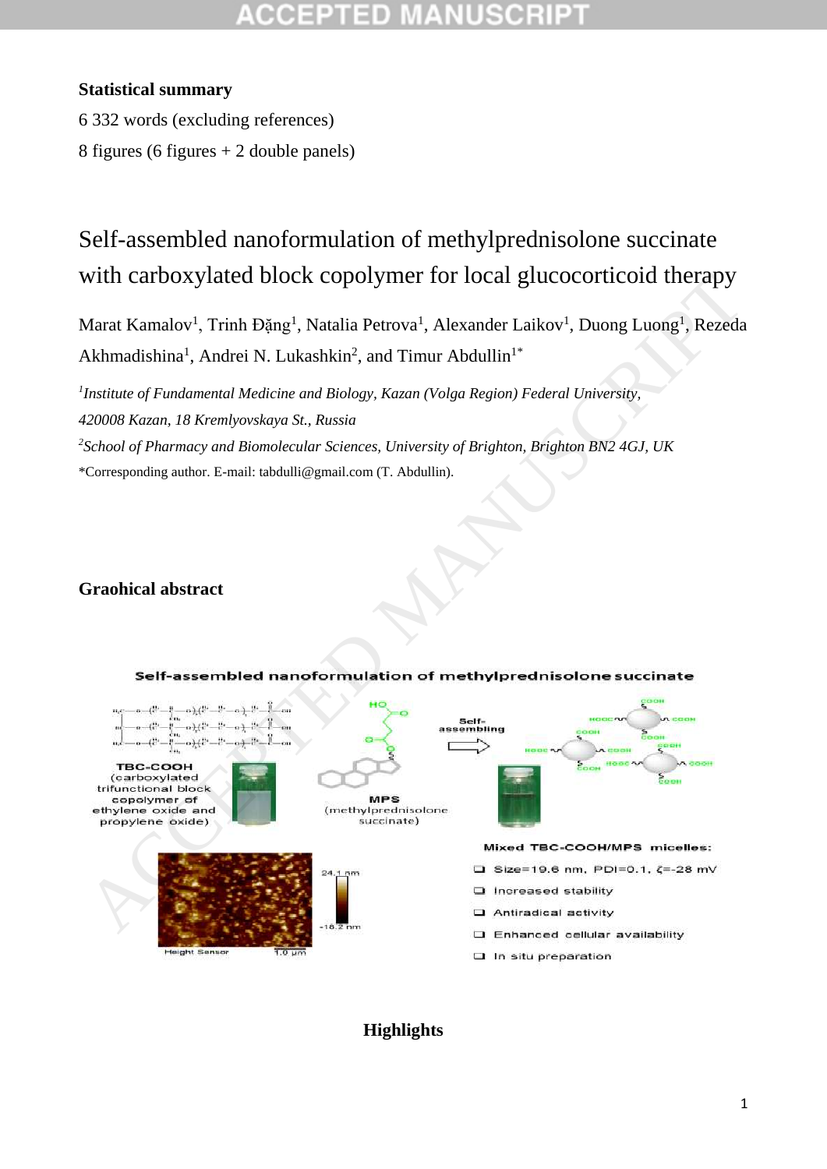### **Statistical summary**

6 332 words (excluding references)

8 figures (6 figures + 2 double panels)

# Self-assembled nanoformulation of methylprednisolone succinate with carboxylated block copolymer for local glucocorticoid therapy

Marat Kamalov<sup>1</sup>, Trinh Đặng<sup>1</sup>, Natalia Petrova<sup>1</sup>, Alexander Laikov<sup>1</sup>, Duong Luong<sup>1</sup>, Rezeda Akhmadishina<sup>1</sup>, Andrei N. Lukashkin<sup>2</sup>, and Timur Abdullin<sup>1\*</sup>

<sup>1</sup> Institute of Fundamental Medicine and Biology, Kazan (Volga Region) Federal University, *420008 Kazan, 18 Kremlyovskaya St., Russia 2 School of Pharmacy and Biomolecular Sciences, University of Brighton, Brighton BN2 4GJ, UK* \*Corresponding author. E-mail: tabdulli@gmail.com (T. Abdullin).

### **Graohical abstract**



**Highlights**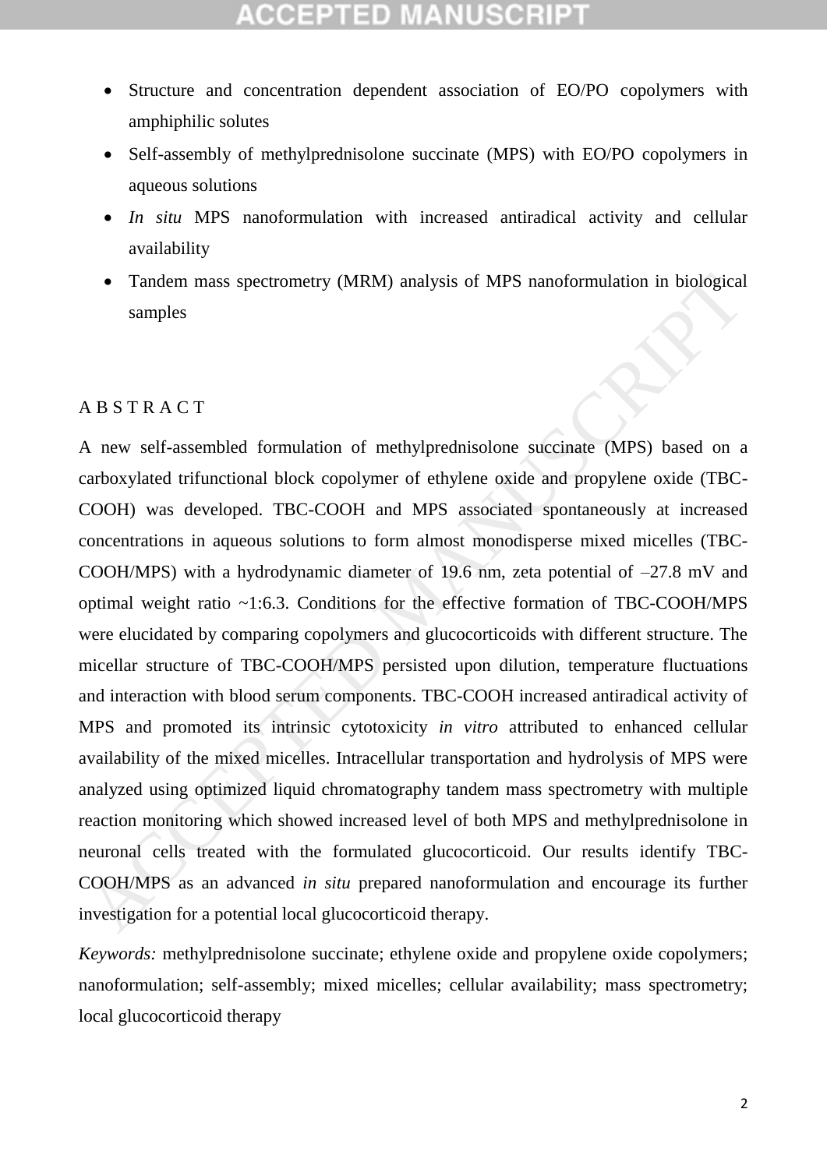- Structure and concentration dependent association of EO/PO copolymers with amphiphilic solutes
- Self-assembly of methylprednisolone succinate (MPS) with EO/PO copolymers in aqueous solutions
- *In situ* MPS nanoformulation with increased antiradical activity and cellular availability
- Tandem mass spectrometry (MRM) analysis of MPS nanoformulation in biological samples

### A B S T R A C T

A new self-assembled formulation of methylprednisolone succinate (MPS) based on a carboxylated trifunctional block copolymer of ethylene oxide and propylene oxide (TBC-COOH) was developed. TBC-COOH and MPS associated spontaneously at increased concentrations in aqueous solutions to form almost monodisperse mixed micelles (TBC-COOH/MPS) with a hydrodynamic diameter of 19.6 nm, zeta potential of –27.8 mV and optimal weight ratio ~1:6.3. Conditions for the effective formation of TBC-COOH/MPS were elucidated by comparing copolymers and glucocorticoids with different structure. The micellar structure of TBC-COOH/MPS persisted upon dilution, temperature fluctuations and interaction with blood serum components. TBC-COOH increased antiradical activity of MPS and promoted its intrinsic cytotoxicity *in vitro* attributed to enhanced cellular availability of the mixed micelles. Intracellular transportation and hydrolysis of MPS were analyzed using optimized liquid chromatography tandem mass spectrometry with multiple reaction monitoring which showed increased level of both MPS and methylprednisolone in neuronal cells treated with the formulated glucocorticoid. Our results identify TBC-COOH/MPS as an advanced *in situ* prepared nanoformulation and encourage its further investigation for a potential local glucocorticoid therapy. • Tandem mass spectrometry (MRM) analysis of MPS nanoformulation in biological<br>samples<br>MBS TRACT<br>A new self-assembled formulation of methylprednisolone succinate (MPS) based on a<br>ratio and a ratio and the complement of ed

*Keywords:* methylprednisolone succinate; ethylene oxide and propylene oxide copolymers; nanoformulation; self-assembly; mixed micelles; cellular availability; mass spectrometry; local glucocorticoid therapy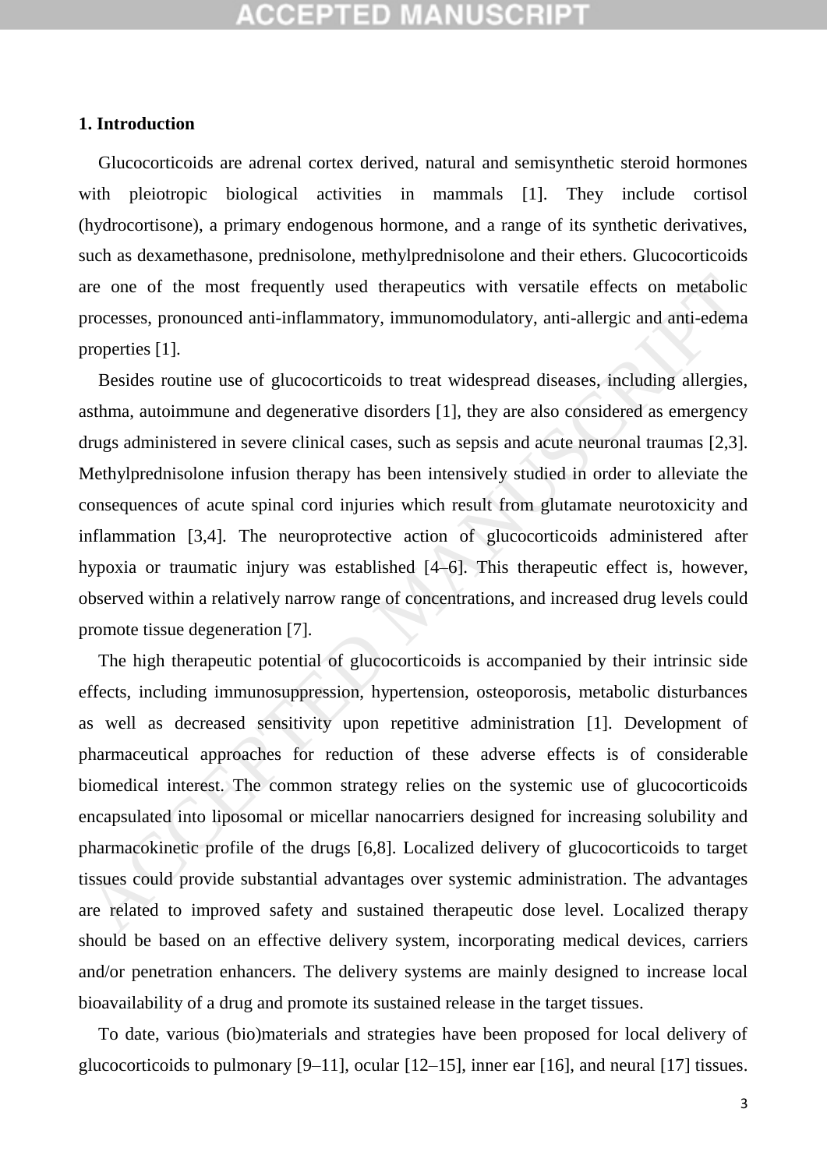## :CEPTED MANUSCR

#### **1. Introduction**

Glucocorticoids are adrenal cortex derived, natural and semisynthetic steroid hormones with pleiotropic biological activities in mammals [1]. They include cortisol (hydrocortisone), a primary endogenous hormone, and a range of its synthetic derivatives, such as dexamethasone, prednisolone, methylprednisolone and their ethers. Glucocorticoids are one of the most frequently used therapeutics with versatile effects on metabolic processes, pronounced anti-inflammatory, immunomodulatory, anti-allergic and anti-edema properties [1].

Besides routine use of glucocorticoids to treat widespread diseases, including allergies, asthma, autoimmune and degenerative disorders [1], they are also considered as emergency drugs administered in severe clinical cases, such as sepsis and acute neuronal traumas [2,3]. Methylprednisolone infusion therapy has been intensively studied in order to alleviate the consequences of acute spinal cord injuries which result from glutamate neurotoxicity and inflammation [3,4]. The neuroprotective action of glucocorticoids administered after hypoxia or traumatic injury was established [4–6]. This therapeutic effect is, however, observed within a relatively narrow range of concentrations, and increased drug levels could promote tissue degeneration [7].

The high therapeutic potential of glucocorticoids is accompanied by their intrinsic side effects, including immunosuppression, hypertension, osteoporosis, metabolic disturbances as well as decreased sensitivity upon repetitive administration [1]. Development of pharmaceutical approaches for reduction of these adverse effects is of considerable biomedical interest. The common strategy relies on the systemic use of glucocorticoids encapsulated into liposomal or micellar nanocarriers designed for increasing solubility and pharmacokinetic profile of the drugs [6,8]. Localized delivery of glucocorticoids to target tissues could provide substantial advantages over systemic administration. The advantages are related to improved safety and sustained therapeutic dose level. Localized therapy should be based on an effective delivery system, incorporating medical devices, carriers and/or penetration enhancers. The delivery systems are mainly designed to increase local bioavailability of a drug and promote its sustained release in the target tissues. are one of the most frequently used therapeutics with versatile effects on metabolic<br>processes, pronounced anti-inflammatory, immunomodulatory, anti-allergic and anti-edems<br>roperties [1]. Besides routine use of glucocortic

To date, various (bio)materials and strategies have been proposed for local delivery of glucocorticoids to pulmonary [9–11], ocular [12–15], inner ear [16], and neural [17] tissues.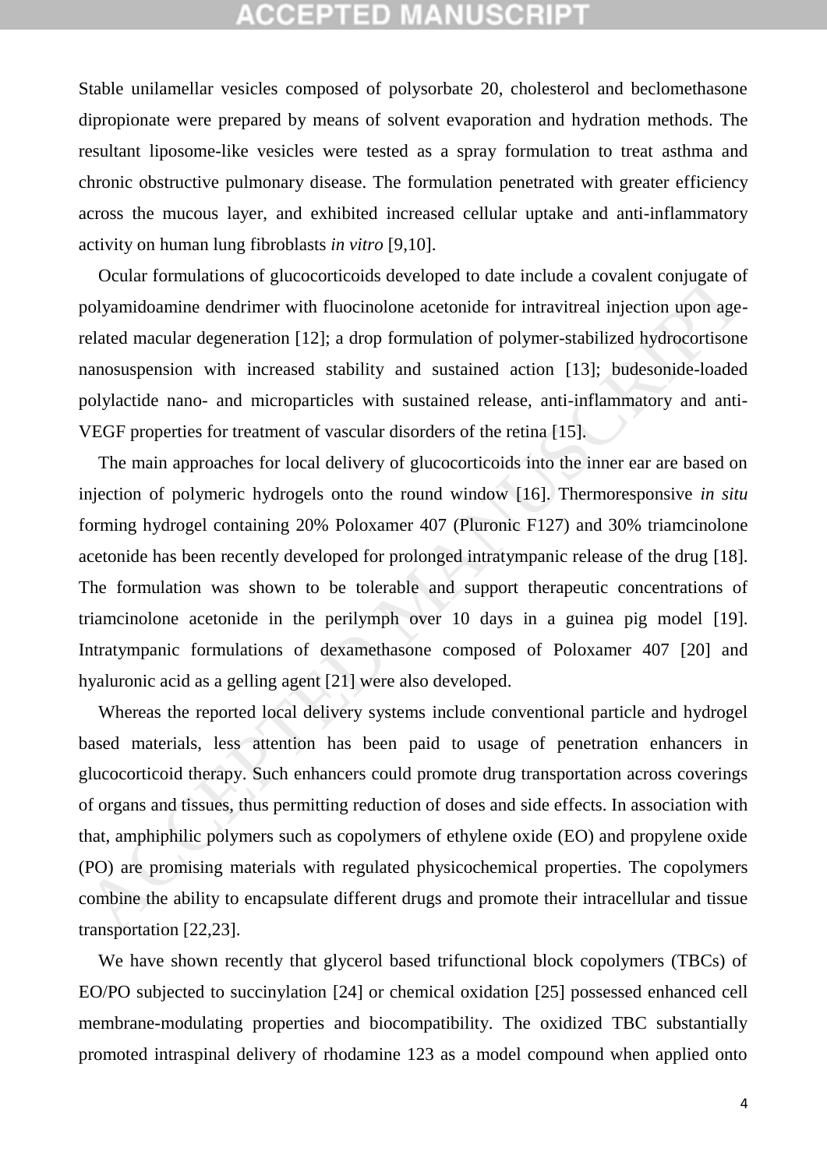Stable unilamellar vesicles composed of polysorbate 20, cholesterol and beclomethasone dipropionate were prepared by means of solvent evaporation and hydration methods. The resultant liposome-like vesicles were tested as a spray formulation to treat asthma and chronic obstructive pulmonary disease. The formulation penetrated with greater efficiency across the mucous layer, and exhibited increased cellular uptake and anti-inflammatory activity on human lung fibroblasts *in vitro* [9,10].

Ocular formulations of glucocorticoids developed to date include a covalent conjugate of polyamidoamine dendrimer with fluocinolone acetonide for intravitreal injection upon agerelated macular degeneration [12]; a drop formulation of polymer-stabilized hydrocortisone nanosuspension with increased stability and sustained action [13]; budesonide-loaded polylactide nano- and microparticles with sustained release, anti-inflammatory and anti-VEGF properties for treatment of vascular disorders of the retina [15].

The main approaches for local delivery of glucocorticoids into the inner ear are based on injection of polymeric hydrogels onto the round window [16]. Thermoresponsive *in situ*  forming hydrogel containing 20% Poloxamer 407 (Pluronic F127) and 30% triamcinolone acetonide has been recently developed for prolonged intratympanic release of the drug [18]. The formulation was shown to be tolerable and support therapeutic concentrations of triamcinolone acetonide in the perilymph over 10 days in a guinea pig model [19]. Intratympanic formulations of dexamethasone composed of Poloxamer 407 [20] and hyaluronic acid as a gelling agent [21] were also developed. Ocular formulations of glucocorticoids developed to date include a covalent conjugate of<br>olyamidoannine dendriner with flucoinolone acctonide for intraviretal injection upon age-<br>elated macular degeneration [12]: a dop for

Whereas the reported local delivery systems include conventional particle and hydrogel based materials, less attention has been paid to usage of penetration enhancers in glucocorticoid therapy. Such enhancers could promote drug transportation across coverings of organs and tissues, thus permitting reduction of doses and side effects. In association with that, amphiphilic polymers such as copolymers of ethylene oxide (EO) and propylene oxide (PO) are promising materials with regulated physicochemical properties. The copolymers combine the ability to encapsulate different drugs and promote their intracellular and tissue transportation [22,23].

We have shown recently that glycerol based trifunctional block copolymers (TBCs) of EO/PO subjected to succinylation [24] or chemical oxidation [25] possessed enhanced cell membrane-modulating properties and biocompatibility. The oxidized TBC substantially promoted intraspinal delivery of rhodamine 123 as a model compound when applied onto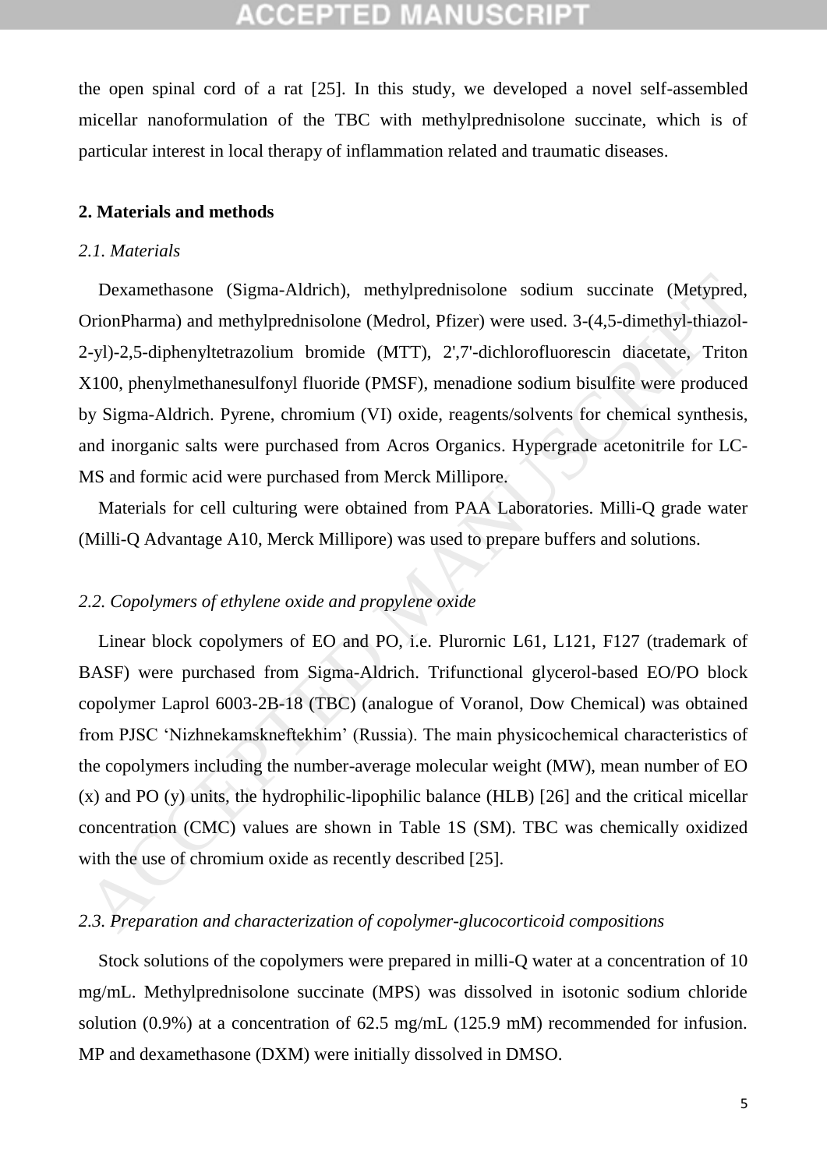the open spinal cord of a rat [25]. In this study, we developed a novel self-assembled micellar nanoformulation of the TBC with methylprednisolone succinate, which is of particular interest in local therapy of inflammation related and traumatic diseases.

#### **2. Materials and methods**

### *2.1. Materials*

Dexamethasone (Sigma-Aldrich), methylprednisolone sodium succinate (Metypred, OrionPharma) and methylprednisolone (Medrol, Pfizer) were used. 3-(4,5-dimethyl-thiazol-2-yl)-2,5-diphenyltetrazolium bromide (MTT), 2',7'-dichlorofluorescin diacetate, Triton X100, phenylmethanesulfonyl fluoride (PMSF), menadione sodium bisulfite were produced by Sigma-Aldrich. Pyrene, chromium (VI) oxide, reagents/solvents for chemical synthesis, and inorganic salts were purchased from Acros Organics. Hypergrade acetonitrile for LC-MS and formic acid were purchased from Merck Millipore.

Materials for cell culturing were obtained from PAA Laboratories. Milli-Q grade water (Milli-Q Advantage A10, Merck Millipore) was used to prepare buffers and solutions.

### *2.2. Copolymers of ethylene oxide and propylene oxide*

Linear block copolymers of EO and PO, i.e. Plurornic L61, L121, F127 (trademark of BASF) were purchased from Sigma-Aldrich. Trifunctional glycerol-based EO/PO block copolymer Laprol 6003-2B-18 (TBC) (analogue of Voranol, Dow Chemical) was obtained from PJSC 'Nizhnekamskneftekhim' (Russia). The main physicochemical characteristics of the copolymers including the number-average molecular weight (MW), mean number of EO (x) and PO (y) units, the hydrophilic-lipophilic balance (HLB) [26] and the critical micellar concentration (CMC) values are shown in Table 1S (SM). TBC was chemically oxidized with the use of chromium oxide as recently described [25]. Dexamethasone (Sigma-Aldrich), methylprednisolone sodium succinate (Metypred-<br>DrionPharma) and methylprednisolone (Medrol, Pfizer) were used. 3-(4,5-dimethyl-thiazol-<br>2-yl)-2,5-diphenyltetrazolium bromide (MTT), 2;7-dichl

### *2.3. Preparation and characterization of copolymer-glucocorticoid compositions*

Stock solutions of the copolymers were prepared in milli-Q water at a concentration of 10 mg/mL. Methylprednisolone succinate (MPS) was dissolved in isotonic sodium chloride solution (0.9%) at a concentration of 62.5 mg/mL (125.9 mM) recommended for infusion. MP and dexamethasone (DXM) were initially dissolved in DMSO.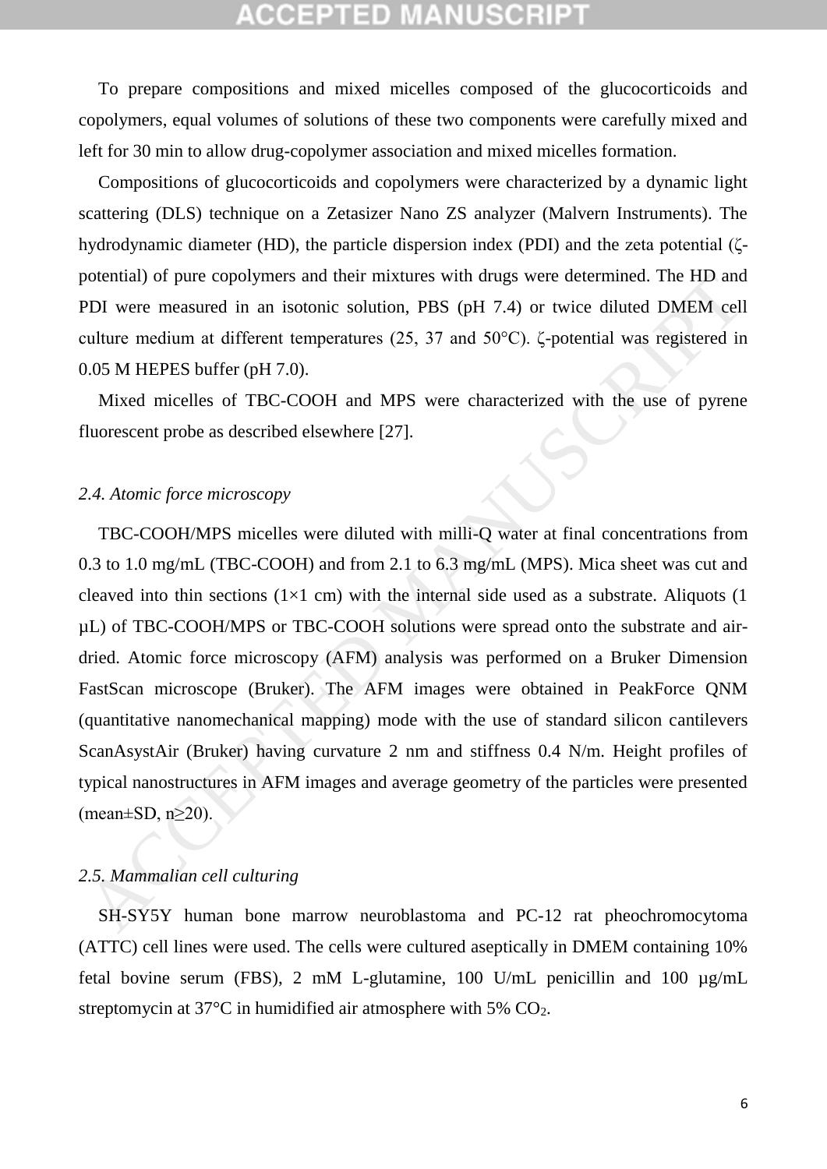### COEPTED

To prepare compositions and mixed micelles composed of the glucocorticoids and copolymers, equal volumes of solutions of these two components were carefully mixed and left for 30 min to allow drug-copolymer association and mixed micelles formation.

Compositions of glucocorticoids and copolymers were characterized by a dynamic light scattering (DLS) technique on a Zetasizer Nano ZS analyzer (Malvern Instruments). The hydrodynamic diameter (HD), the particle dispersion index (PDI) and the zeta potential (ζpotential) of pure copolymers and their mixtures with drugs were determined. The HD and PDI were measured in an isotonic solution, PBS (pH 7.4) or twice diluted DMEM cell culture medium at different temperatures (25, 37 and 50°C). ζ-potential was registered in 0.05 M HEPES buffer (pH 7.0).

Mixed micelles of TBC-COOH and MPS were characterized with the use of pyrene fluorescent probe as described elsewhere [27].

#### *2.4. Atomic force microscopy*

TBC-COOH/MPS micelles were diluted with milli-Q water at final concentrations from 0.3 to 1.0 mg/mL (TBC-COOH) and from 2.1 to 6.3 mg/mL (MPS). Mica sheet was cut and cleaved into thin sections ( $1\times1$  cm) with the internal side used as a substrate. Aliquots ( $1$ µL) of TBC-COOH/MPS or TBC-COOH solutions were spread onto the substrate and airdried. Atomic force microscopy (AFM) analysis was performed on a Bruker Dimension FastScan microscope (Bruker). The AFM images were obtained in PeakForce QNM (quantitative nanomechanical mapping) mode with the use of standard silicon cantilevers ScanAsystAir (Bruker) having curvature 2 nm and stiffness 0.4 N/m. Height profiles of typical nanostructures in AFM images and average geometry of the particles were presented (mean $\pm$ SD, n $\geq$ 20). obtential) of pive copolymers and their mixtures with drugs were determined. The HD and<br>DDI were measured in an isotonic solution, PBS (pH 7.4) or twice diluted DMEM cell<br>ultime medium at different temperatures (25, 37 an

### *2.5. Mammalian cell culturing*

SH-SY5Y human bone marrow neuroblastoma and PC-12 rat pheochromocytoma (ATTC) cell lines were used. The cells were cultured aseptically in DMEM containing 10% fetal bovine serum (FBS), 2 mM L-glutamine, 100 U/mL penicillin and 100 µg/mL streptomycin at 37°C in humidified air atmosphere with 5% CO2.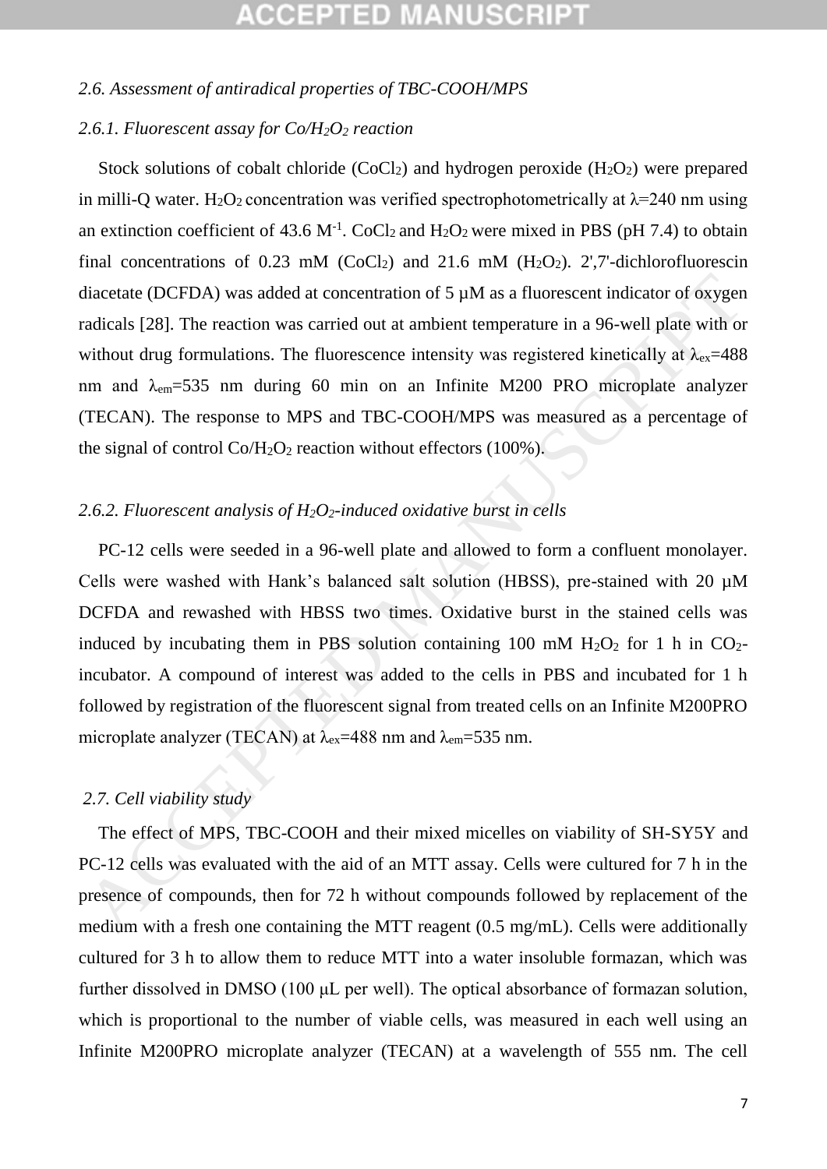### *2.6. Assessment of antiradical properties of TBC-COOH/MPS*

### *2.6.1. Fluorescent assay for Co/H2O<sup>2</sup> reaction*

Stock solutions of cobalt chloride  $(CoCl<sub>2</sub>)$  and hydrogen peroxide  $(H<sub>2</sub>O<sub>2</sub>)$  were prepared in milli-O water. H<sub>2</sub>O<sub>2</sub> concentration was verified spectrophotometrically at  $\lambda$ =240 nm using an extinction coefficient of 43.6 M<sup>-1</sup>. CoCl<sub>2</sub> and H<sub>2</sub>O<sub>2</sub> were mixed in PBS (pH 7.4) to obtain final concentrations of 0.23 mM (CoCl<sub>2</sub>) and 21.6 mM (H<sub>2</sub>O<sub>2</sub>). 2',7'-dichlorofluorescin diacetate (DCFDA) was added at concentration of 5  $\mu$ M as a fluorescent indicator of oxygen radicals [28]. The reaction was carried out at ambient temperature in a 96-well plate with or without drug formulations. The fluorescence intensity was registered kinetically at  $\lambda_{ex}=488$ nm and  $\lambda_{em}$ =535 nm during 60 min on an Infinite M200 PRO microplate analyzer (TECAN). The response to MPS and TBC-COOH/MPS was measured as a percentage of the signal of control  $Co/H<sub>2</sub>O<sub>2</sub>$  reaction without effectors (100%).

### *2.6.2. Fluorescent analysis of H2O2-induced oxidative burst in cells*

PC-12 cells were seeded in a 96-well plate and allowed to form a confluent monolayer. Cells were washed with Hank's balanced salt solution (HBSS), pre-stained with 20 µM DCFDA and rewashed with HBSS two times. Oxidative burst in the stained cells was induced by incubating them in PBS solution containing 100 mM  $H_2O_2$  for 1 h in CO<sub>2</sub>incubator. A compound of interest was added to the cells in PBS and incubated for 1 h followed by registration of the fluorescent signal from treated cells on an Infinite M200PRO microplate analyzer (TECAN) at  $\lambda_{ex}$ =488 nm and  $\lambda_{em}$ =535 nm. diacetate (DCFDA) was added at concentration of 5  $\mu$ M as a fluorescent indicator of oxygency and<br>calas [28]. The reaction was carried out at ambient temperature in a 96-well plate with out<br>without drug formulations. The

### *2.7. Cell viability study*

The effect of MPS, TBC-COOH and their mixed micelles on viability of SH-SY5Y and PC-12 cells was evaluated with the aid of an MTT assay. Cells were cultured for 7 h in the presence of compounds, then for 72 h without compounds followed by replacement of the medium with a fresh one containing the MTT reagent (0.5 mg/mL). Cells were additionally cultured for 3 h to allow them to reduce MTT into a water insoluble formazan, which was further dissolved in DMSO (100 μL per well). The optical absorbance of formazan solution, which is proportional to the number of viable cells, was measured in each well using an Infinite M200PRO microplate analyzer (TECAN) at a wavelength of 555 nm. The cell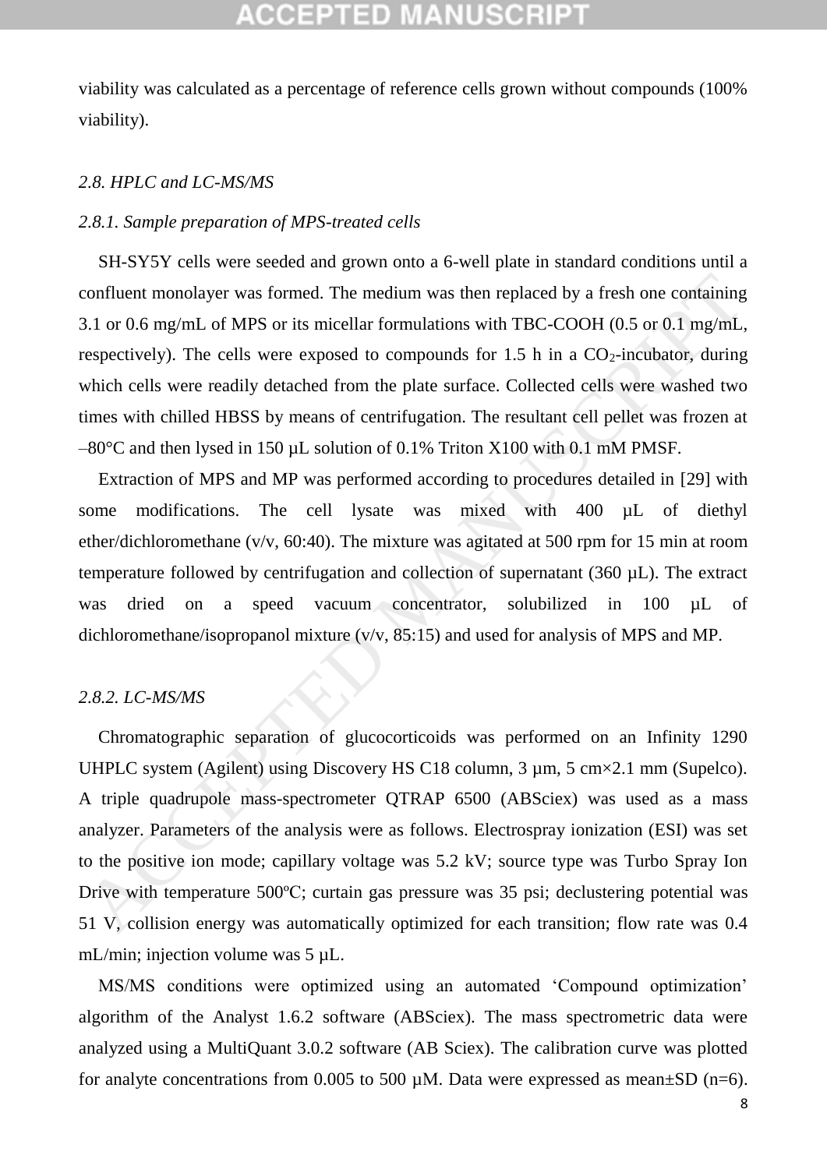viability was calculated as a percentage of reference cells grown without compounds (100% viability).

#### *2.8. HPLC and LC-MS/MS*

#### *2.8.1. Sample preparation of MPS-treated cells*

SH-SY5Y cells were seeded and grown onto a 6-well plate in standard conditions until a confluent monolayer was formed. The medium was then replaced by a fresh one containing 3.1 or 0.6 mg/mL of MPS or its micellar formulations with TBC-COOH (0.5 or 0.1 mg/mL, respectively). The cells were exposed to compounds for 1.5 h in a  $CO<sub>2</sub>$ -incubator, during which cells were readily detached from the plate surface. Collected cells were washed two times with chilled HBSS by means of centrifugation. The resultant cell pellet was frozen at  $-80^{\circ}$ C and then lysed in 150 µL solution of 0.1% Triton X100 with 0.1 mM PMSF.

Extraction of MPS and MP was performed according to procedures detailed in [29] with some modifications. The cell lysate was mixed with 400 uL of diethyl ether/dichloromethane (v/v, 60:40). The mixture was agitated at 500 rpm for 15 min at room temperature followed by centrifugation and collection of supernatant (360 µL). The extract was dried on a speed vacuum concentrator, solubilized in 100 µL of dichloromethane/isopropanol mixture (v/v, 85:15) and used for analysis of MPS and MP.

#### *2.8.2. LC-MS/MS*

Chromatographic separation of glucocorticoids was performed on an Infinity 1290 UHPLC system (Agilent) using Discovery HS C18 column, 3  $\mu$ m, 5 cm×2.1 mm (Supelco). A triple quadrupole mass-spectrometer QTRAP 6500 (ABSciex) was used as a mass analyzer. Parameters of the analysis were as follows. Electrospray ionization (ESI) was set to the positive ion mode; capillary voltage was 5.2 kV; source type was Turbo Spray Ion Drive with temperature 500ºС; curtain gas pressure was 35 psi; declustering potential was 51 V, collision energy was automatically optimized for each transition; flow rate was 0.4 mL/min; injection volume was 5  $\mu$ L. confluent monolayer was formed. The medium was then replaced by a fresh one containing<br>3.1 or 0.6 mg/mL of MPS or its micellar formulations with TBC-COOH (0.5 or 0.1 mg/mL<br>respectively). The cells were exposed to compounds

MS/MS conditions were optimized using an automated 'Compound optimization' algorithm of the Analyst 1.6.2 software (ABSciex). The mass spectrometric data were analyzed using a MultiQuant 3.0.2 software (AB Sciex). The calibration curve was plotted for analyte concentrations from 0.005 to 500  $\mu$ M. Data were expressed as mean $\pm$ SD (n=6).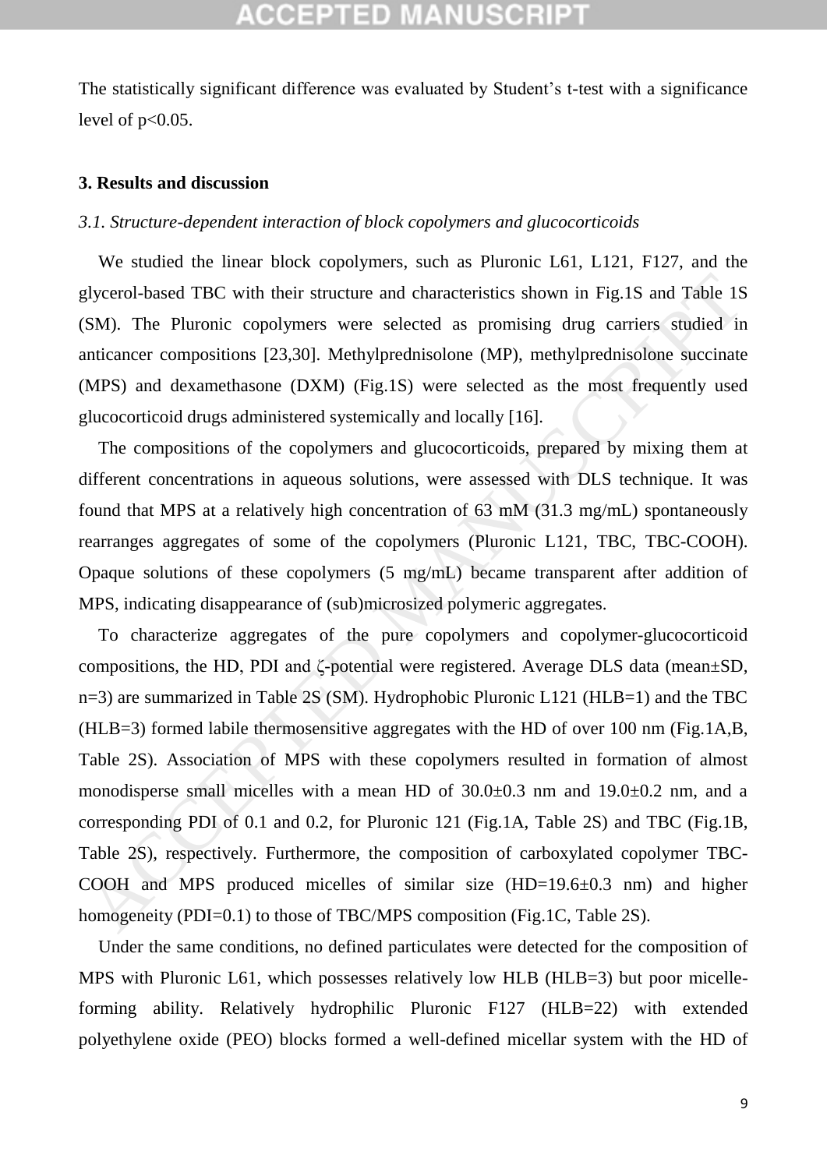The statistically significant difference was evaluated by Student's t-test with a significance level of  $p<0.05$ .

#### **3. Results and discussion**

### *3.1. Structure-dependent interaction of block copolymers and glucocorticoids*

We studied the linear block copolymers, such as Pluronic L61, L121, F127, and the glycerol-based TBC with their structure and characteristics shown in Fig.1S and Table 1S (SM). The Pluronic copolymers were selected as promising drug carriers studied in anticancer compositions [23,30]. Methylprednisolone (MP), methylprednisolone succinate (MPS) and dexamethasone (DXM) (Fig.1S) were selected as the most frequently used glucocorticoid drugs administered systemically and locally [16].

The compositions of the copolymers and glucocorticoids, prepared by mixing them at different concentrations in aqueous solutions, were assessed with DLS technique. It was found that MPS at a relatively high concentration of 63 mM (31.3 mg/mL) spontaneously rearranges aggregates of some of the copolymers (Pluronic L121, TBC, TBC-COOH). Opaque solutions of these copolymers (5 mg/mL) became transparent after addition of MPS, indicating disappearance of (sub)microsized polymeric aggregates.

To characterize aggregates of the pure copolymers and copolymer-glucocorticoid compositions, the HD, PDI and ζ-potential were registered. Average DLS data (mean±SD, n=3) are summarized in Table 2S (SM). Hydrophobic Pluronic L121 (HLB=1) and the TBC (HLB=3) formed labile thermosensitive aggregates with the HD of over 100 nm (Fig.1A,B, Table 2S). Association of MPS with these copolymers resulted in formation of almost monodisperse small micelles with a mean HD of 30.0±0.3 nm and 19.0±0.2 nm, and a corresponding PDI of 0.1 and 0.2, for Pluronic 121 (Fig.1A, Table 2S) and TBC (Fig.1B, Table 2S), respectively. Furthermore, the composition of carboxylated copolymer TBC-COOH and MPS produced micelles of similar size (HD=19.6±0.3 nm) and higher homogeneity (PDI=0.1) to those of TBC/MPS composition (Fig.1C, Table 2S). glycerol-based TBC with their structure and characteristics shown in Fig.1S and Table 1S<br>
SM). The Pluronic copolymers were selected as promising drug carriers studied in<br>
miticancer compositions [23,30]. Methylprednisolon

Under the same conditions, no defined particulates were detected for the composition of MPS with Pluronic L61, which possesses relatively low HLB (HLB=3) but poor micelleforming ability. Relatively hydrophilic Pluronic F127 (HLB=22) with extended polyethylene oxide (PEO) blocks formed a well-defined micellar system with the HD of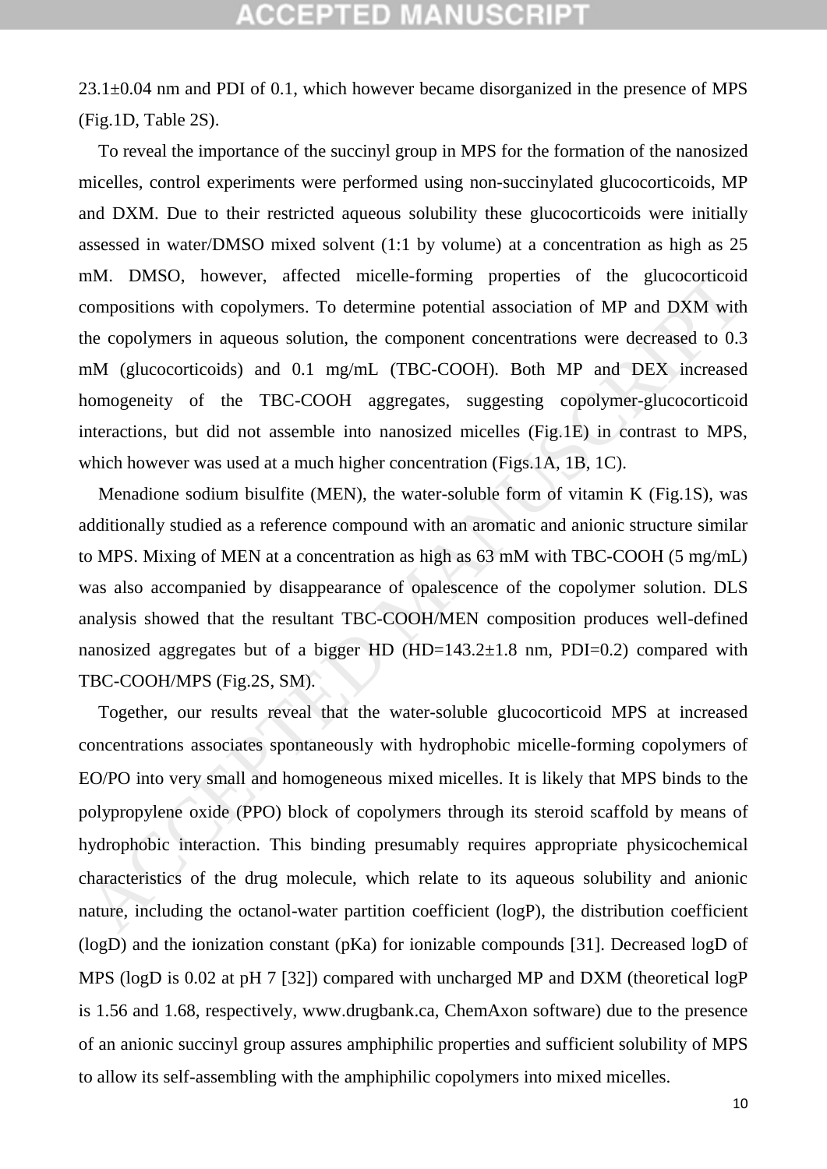23.1±0.04 nm and PDI of 0.1, which however became disorganized in the presence of MPS (Fig.1D, Table 2S).

To reveal the importance of the succinyl group in MPS for the formation of the nanosized micelles, control experiments were performed using non-succinylated glucocorticoids, MP and DXM. Due to their restricted aqueous solubility these glucocorticoids were initially assessed in water/DMSO mixed solvent (1:1 by volume) at a concentration as high as 25 mM. DMSO, however, affected micelle-forming properties of the glucocorticoid compositions with copolymers. To determine potential association of MP and DXM with the copolymers in aqueous solution, the component concentrations were decreased to 0.3 mM (glucocorticoids) and 0.1 mg/mL (TBC-COOH). Both MP and DEX increased homogeneity of the TBC-COOH aggregates, suggesting copolymer-glucocorticoid interactions, but did not assemble into nanosized micelles (Fig.1E) in contrast to MPS, which however was used at a much higher concentration (Figs.1A, 1B, 1C).

Menadione sodium bisulfite (MEN), the water-soluble form of vitamin K (Fig.1S), was additionally studied as a reference compound with an aromatic and anionic structure similar to MPS. Mixing of MEN at a concentration as high as 63 mM with TBC-COOH (5 mg/mL) was also accompanied by disappearance of opalescence of the copolymer solution. DLS analysis showed that the resultant TBC-COOH/MEN composition produces well-defined nanosized aggregates but of a bigger HD  $(HD=143.2\pm1.8 \text{ nm}, \text{PDI}=0.2)$  compared with TBC-COOH/MPS (Fig.2S, SM).

Together, our results reveal that the water-soluble glucocorticoid MPS at increased concentrations associates spontaneously with hydrophobic micelle-forming copolymers of EO/PO into very small and homogeneous mixed micelles. It is likely that MPS binds to the polypropylene oxide (PPO) block of copolymers through its steroid scaffold by means of hydrophobic interaction. This binding presumably requires appropriate physicochemical characteristics of the drug molecule, which relate to its aqueous solubility and anionic nature, including the octanol-water partition coefficient (logP), the distribution coefficient (logD) and the ionization constant (pKa) for ionizable compounds [31]. Decreased logD of MPS (logD is 0.02 at pH 7 [32]) compared with uncharged MP and DXM (theoretical logP is 1.56 and 1.68, respectively, www.drugbank.ca, ChemAxon software) due to the presence of an anionic succinyl group assures amphiphilic properties and sufficient solubility of MPS to allow its self-assembling with the amphiphilic copolymers into mixed micelles. mM. DMSO, however, aftected micelle-forming properties of the glucocortcotic compositions with copolymers. To determine potential association of MP and DXM with<br>energo/mynes in aqueous solution, the component concentration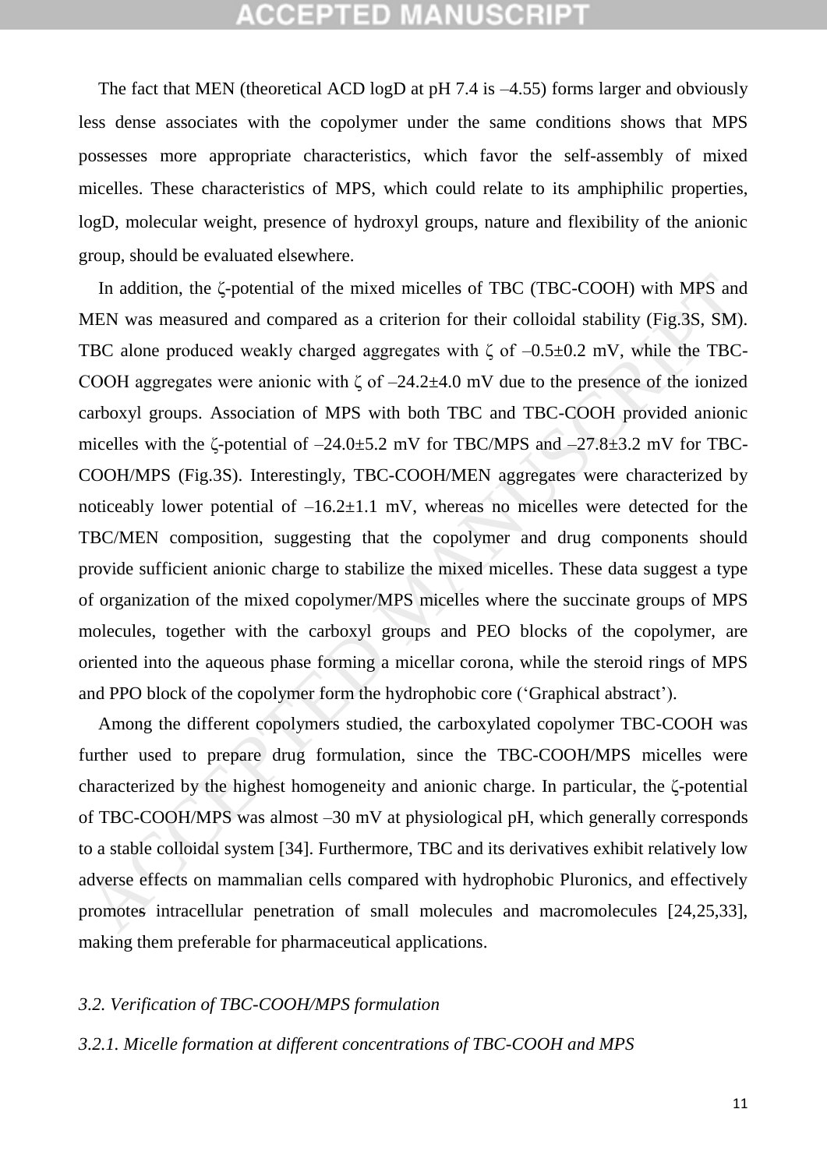The fact that MEN (theoretical ACD logD at pH 7.4 is –4.55) forms larger and obviously less dense associates with the copolymer under the same conditions shows that MPS possesses more appropriate characteristics, which favor the self-assembly of mixed micelles. These characteristics of MPS, which could relate to its amphiphilic properties, logD, molecular weight, presence of hydroxyl groups, nature and flexibility of the anionic group, should be evaluated elsewhere.

In addition, the ζ-potential of the mixed micelles of TBC (TBC-COOH) with MPS and MEN was measured and compared as a criterion for their colloidal stability (Fig.3S, SM). TBC alone produced weakly charged aggregates with  $\zeta$  of  $-0.5\pm0.2$  mV, while the TBC-COOH aggregates were anionic with  $\zeta$  of  $-24.2\pm4.0$  mV due to the presence of the ionized carboxyl groups. Association of MPS with both TBC and TBC-COOH provided anionic micelles with the  $\zeta$ -potential of  $-24.0\pm5.2$  mV for TBC/MPS and  $-27.8\pm3.2$  mV for TBC-COOH/MPS (Fig.3S). Interestingly, TBC-COOH/MEN aggregates were characterized by noticeably lower potential of  $-16.2 \pm 1.1$  mV, whereas no micelles were detected for the TBC/MEN composition, suggesting that the copolymer and drug components should provide sufficient anionic charge to stabilize the mixed micelles. These data suggest a type of organization of the mixed copolymer/MPS micelles where the succinate groups of MPS molecules, together with the carboxyl groups and PEO blocks of the copolymer, are oriented into the aqueous phase forming a micellar corona, while the steroid rings of MPS and PPO block of the copolymer form the hydrophobic core ('Graphical abstract'). In addition, the  $\zeta$ -potential of the mixed micelles of TBC (TBC-COOH) with MPS and<br>ENN was measured and compared as a criterion for their colloidal stability (Fig.3S, SM)<br>TBC alone produced weakly charged aggregates wi

Among the different copolymers studied, the carboxylated copolymer TBC-COOH was further used to prepare drug formulation, since the TBC-COOH/MPS micelles were characterized by the highest homogeneity and anionic charge. In particular, the ζ-potential of TBC-COOH/MPS was almost –30 mV at physiological pH, which generally corresponds to a stable colloidal system [34]. Furthermore, TBC and its derivatives exhibit relatively low adverse effects on mammalian cells compared with hydrophobic Pluronics, and effectively promotes intracellular penetration of small molecules and macromolecules [24,25,33], making them preferable for pharmaceutical applications.

### *3.2. Verification of TBC-COOH/MPS formulation*

### *3.2.1. Micelle formation at different concentrations of TBC-COOH and MPS*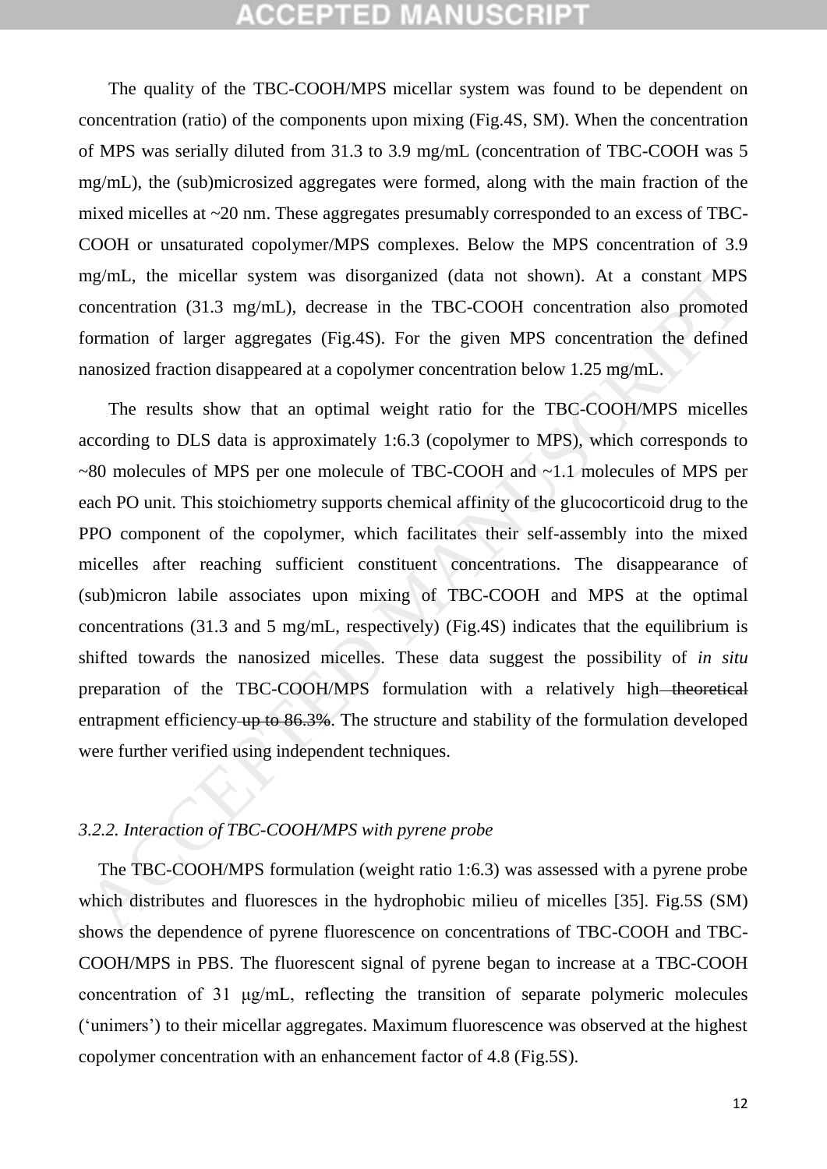The quality of the TBC-COOH/MPS micellar system was found to be dependent on concentration (ratio) of the components upon mixing (Fig.4S, SM). When the concentration of MPS was serially diluted from 31.3 to 3.9 mg/mL (concentration of TBC-COOH was 5 mg/mL), the (sub)microsized aggregates were formed, along with the main fraction of the mixed micelles at ~20 nm. These aggregates presumably corresponded to an excess of TBC-COOH or unsaturated copolymer/MPS complexes. Below the MPS concentration of 3.9 mg/mL, the micellar system was disorganized (data not shown). At a constant MPS concentration (31.3 mg/mL), decrease in the TBC-COOH concentration also promoted formation of larger aggregates (Fig.4S). For the given MPS concentration the defined nanosized fraction disappeared at a copolymer concentration below 1.25 mg/mL.

The results show that an optimal weight ratio for the TBC-COOH/MPS micelles according to DLS data is approximately 1:6.3 (copolymer to MPS), which corresponds to ~80 molecules of MPS per one molecule of TBC-COOH and ~1.1 molecules of MPS per each PO unit. This stoichiometry supports chemical affinity of the glucocorticoid drug to the PPO component of the copolymer, which facilitates their self-assembly into the mixed micelles after reaching sufficient constituent concentrations. The disappearance of (sub)micron labile associates upon mixing of TBC-COOH and MPS at the optimal concentrations (31.3 and 5 mg/mL, respectively) (Fig.4S) indicates that the equilibrium is shifted towards the nanosized micelles. These data suggest the possibility of *in situ* preparation of the TBC-COOH/MPS formulation with a relatively high-theoretical entrapment efficiency up to 86.3%. The structure and stability of the formulation developed were further verified using independent techniques. mg/mL, the moeilar system was disorganized (data not shown). At a constant MPS<br>concentration (31.3 mg/mL), decrease in the TBC-COOH concentration also promote<br>coromation of larger aggregates (Fig.4S). For the given MPS con

### *3.2.2. Interaction of TBC-COOH/MPS with pyrene probe*

The TBC-COOH/MPS formulation (weight ratio 1:6.3) was assessed with a pyrene probe which distributes and fluoresces in the hydrophobic milieu of micelles [35]. Fig.5S (SM) shows the dependence of pyrene fluorescence on concentrations of TBC-COOH and TBC-COOH/MPS in PBS. The fluorescent signal of pyrene began to increase at a TBC-COOH concentration of 31 μg/mL, reflecting the transition of separate polymeric molecules ('unimers') to their micellar aggregates. Maximum fluorescence was observed at the highest copolymer concentration with an enhancement factor of 4.8 (Fig.5S).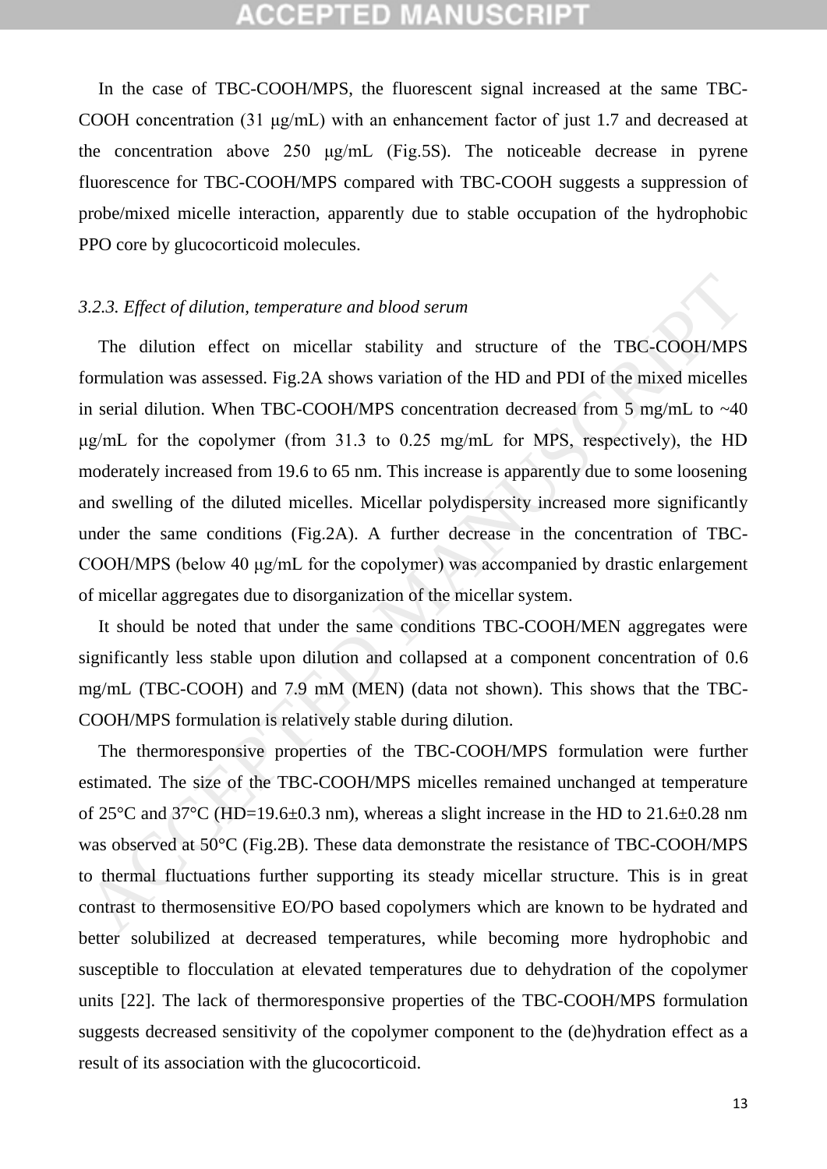In the case of TBC-COOH/MPS, the fluorescent signal increased at the same TBC-COOH concentration (31 μg/mL) with an enhancement factor of just 1.7 and decreased at the concentration above 250 μg/mL (Fig.5S). The noticeable decrease in pyrene fluorescence for TBC-COOH/MPS compared with TBC-COOH suggests a suppression of probe/mixed micelle interaction, apparently due to stable occupation of the hydrophobic PPO core by glucocorticoid molecules.

#### *3.2.3. Effect of dilution, temperature and blood serum*

The dilution effect on micellar stability and structure of the TBC-COOH/MPS formulation was assessed. Fig.2A shows variation of the HD and PDI of the mixed micelles in serial dilution. When TBC-COOH/MPS concentration decreased from 5 mg/mL to ~40 μg/mL for the copolymer (from 31.3 to 0.25 mg/mL for MPS, respectively), the HD moderately increased from 19.6 to 65 nm. This increase is apparently due to some loosening and swelling of the diluted micelles. Micellar polydispersity increased more significantly under the same conditions (Fig.2A). A further decrease in the concentration of TBC-COOH/MPS (below 40 μg/mL for the copolymer) was accompanied by drastic enlargement of micellar aggregates due to disorganization of the micellar system. 3.2.3. Effect of dilation, temperature and blood serum<br>The dilation effect on micellar stability and structure of the TBC-COOH/MPS<br>ormulation was assessed. Fig.2A shows variation of the HD and PDI of the mixed micelles<br>n

It should be noted that under the same conditions TBC-COOH/MEN aggregates were significantly less stable upon dilution and collapsed at a component concentration of 0.6 mg/mL (TBC-COOH) and 7.9 mM (MEN) (data not shown). This shows that the TBC-COOH/MPS formulation is relatively stable during dilution.

The thermoresponsive properties of the TBC-COOH/MPS formulation were further estimated. The size of the TBC-COOH/MPS micelles remained unchanged at temperature of 25 $\degree$ C and 37 $\degree$ C (HD=19.6 $\pm$ 0.3 nm), whereas a slight increase in the HD to 21.6 $\pm$ 0.28 nm was observed at 50°C (Fig.2B). These data demonstrate the resistance of TBC-COOH/MPS to thermal fluctuations further supporting its steady micellar structure. This is in great contrast to thermosensitive EO/PO based copolymers which are known to be hydrated and better solubilized at decreased temperatures, while becoming more hydrophobic and susceptible to flocculation at elevated temperatures due to dehydration of the copolymer units [22]. The lack of thermoresponsive properties of the TBC-COOH/MPS formulation suggests decreased sensitivity of the copolymer component to the (de)hydration effect as a result of its association with the glucocorticoid.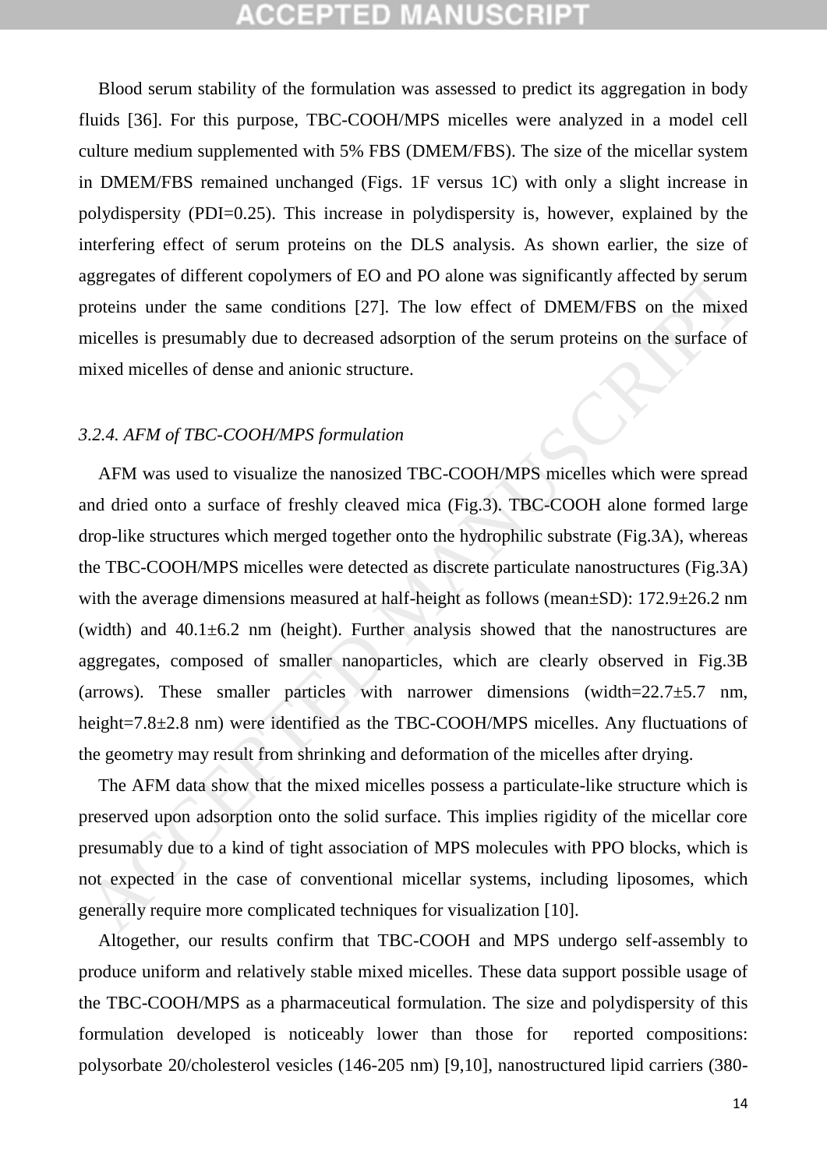Blood serum stability of the formulation was assessed to predict its aggregation in body fluids [36]. For this purpose, TBC-COOH/MPS micelles were analyzed in a model cell culture medium supplemented with 5% FBS (DMEM/FBS). The size of the micellar system in DMEM/FBS remained unchanged (Figs. 1F versus 1C) with only a slight increase in polydispersity (PDI=0.25). This increase in polydispersity is, however, explained by the interfering effect of serum proteins on the DLS analysis. As shown earlier, the size of aggregates of different copolymers of EO and PO alone was significantly affected by serum proteins under the same conditions [27]. The low effect of DMEM/FBS on the mixed micelles is presumably due to decreased adsorption of the serum proteins on the surface of mixed micelles of dense and anionic structure.

#### *3.2.4. AFM of TBC-COOH/MPS formulation*

AFM was used to visualize the nanosized TBC-COOH/MPS micelles which were spread and dried onto a surface of freshly cleaved mica (Fig.3). TBC-COOH alone formed large drop-like structures which merged together onto the hydrophilic substrate (Fig.3A), whereas the TBC-COOH/MPS micelles were detected as discrete particulate nanostructures (Fig.3A) with the average dimensions measured at half-height as follows (mean $\pm$ SD): 172.9 $\pm$ 26.2 nm (width) and  $40.1\pm6.2$  nm (height). Further analysis showed that the nanostructures are aggregates, composed of smaller nanoparticles, which are clearly observed in Fig.3B (arrows). These smaller particles with narrower dimensions (width= $22.7\pm5.7$  nm, height=7.8±2.8 nm) were identified as the TBC-COOH/MPS micelles. Any fluctuations of the geometry may result from shrinking and deformation of the micelles after drying. regregates of different copolymers of EO and PO alone was significantly affected by serumnoricins under the same conditions [27]. The low effect of DMEM/FBS on the mixed incideles is presumably due to decreased adsoption o

The AFM data show that the mixed micelles possess a particulate-like structure which is preserved upon adsorption onto the solid surface. This implies rigidity of the micellar core presumably due to a kind of tight association of MPS molecules with PPO blocks, which is not expected in the case of conventional micellar systems, including liposomes, which generally require more complicated techniques for visualization [10].

Altogether, our results confirm that TBC-COOH and MPS undergo self-assembly to produce uniform and relatively stable mixed micelles. These data support possible usage of the TBC-COOH/MPS as a pharmaceutical formulation. The size and polydispersity of this formulation developed is noticeably lower than those for reported compositions: polysorbate 20/cholesterol vesicles (146-205 nm) [9,10], nanostructured lipid carriers (380-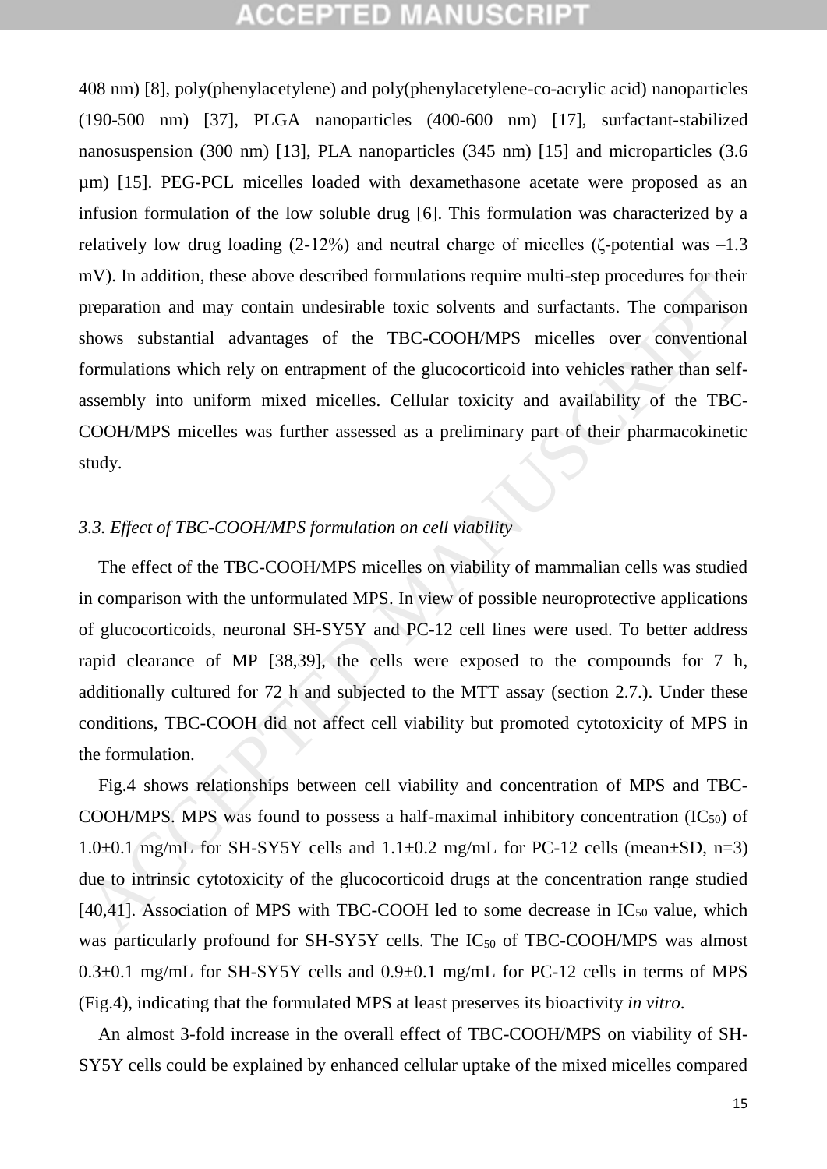408 nm) [8], poly(phenylacetylene) and poly(phenylacetylene-co-acrylic acid) nanoparticles (190-500 nm) [37], PLGA nanoparticles (400-600 nm) [17], surfactant-stabilized nanosuspension (300 nm) [13], PLA nanoparticles (345 nm) [15] and microparticles (3.6 µm) [15]. PEG-PCL micelles loaded with dexamethasone acetate were proposed as an infusion formulation of the low soluble drug [6]. This formulation was characterized by a relatively low drug loading (2-12%) and neutral charge of micelles (ζ-potential was –1.3 mV). In addition, these above described formulations require multi-step procedures for their preparation and may contain undesirable toxic solvents and surfactants. The comparison shows substantial advantages of the TBC-COOH/MPS micelles over conventional formulations which rely on entrapment of the glucocorticoid into vehicles rather than selfassembly into uniform mixed micelles. Cellular toxicity and availability of the TBC-COOH/MPS micelles was further assessed as a preliminary part of their pharmacokinetic study.

### *3.3. Effect of TBC-COOH/MPS formulation on cell viability*

The effect of the TBC-COOH/MPS micelles on viability of mammalian cells was studied in comparison with the unformulated MPS. In view of possible neuroprotective applications of glucocorticoids, neuronal SH-SY5Y and PC-12 cell lines were used. To better address rapid clearance of MP [38,39], the cells were exposed to the compounds for 7 h, additionally cultured for 72 h and subjected to the MTT assay (section 2.7.). Under these conditions, TBC-COOH did not affect cell viability but promoted cytotoxicity of MPS in the formulation. In addition, these above described formulations require multi-step procedures for their<br>proparation and may contain undestrable toxic solvents and surfactants. The comparison<br>hows substantial advantages of the TBC-COOH/MPS

Fig.4 shows relationships between cell viability and concentration of MPS and TBC-COOH/MPS. MPS was found to possess a half-maximal inhibitory concentration  $(IC_{50})$  of 1.0 $\pm$ 0.1 mg/mL for SH-SY5Y cells and 1.1 $\pm$ 0.2 mg/mL for PC-12 cells (mean $\pm$ SD, n=3) due to intrinsic cytotoxicity of the glucocorticoid drugs at the concentration range studied [40,41]. Association of MPS with TBC-COOH led to some decrease in  $IC_{50}$  value, which was particularly profound for SH-SY5Y cells. The IC<sub>50</sub> of TBC-COOH/MPS was almost 0.3±0.1 mg/mL for SH-SY5Y cells and 0.9±0.1 mg/mL for PC-12 cells in terms of MPS (Fig.4), indicating that the formulated MPS at least preserves its bioactivity *in vitro*.

An almost 3-fold increase in the overall effect of TBC-COOH/MPS on viability of SH-SY5Y cells could be explained by enhanced cellular uptake of the mixed micelles compared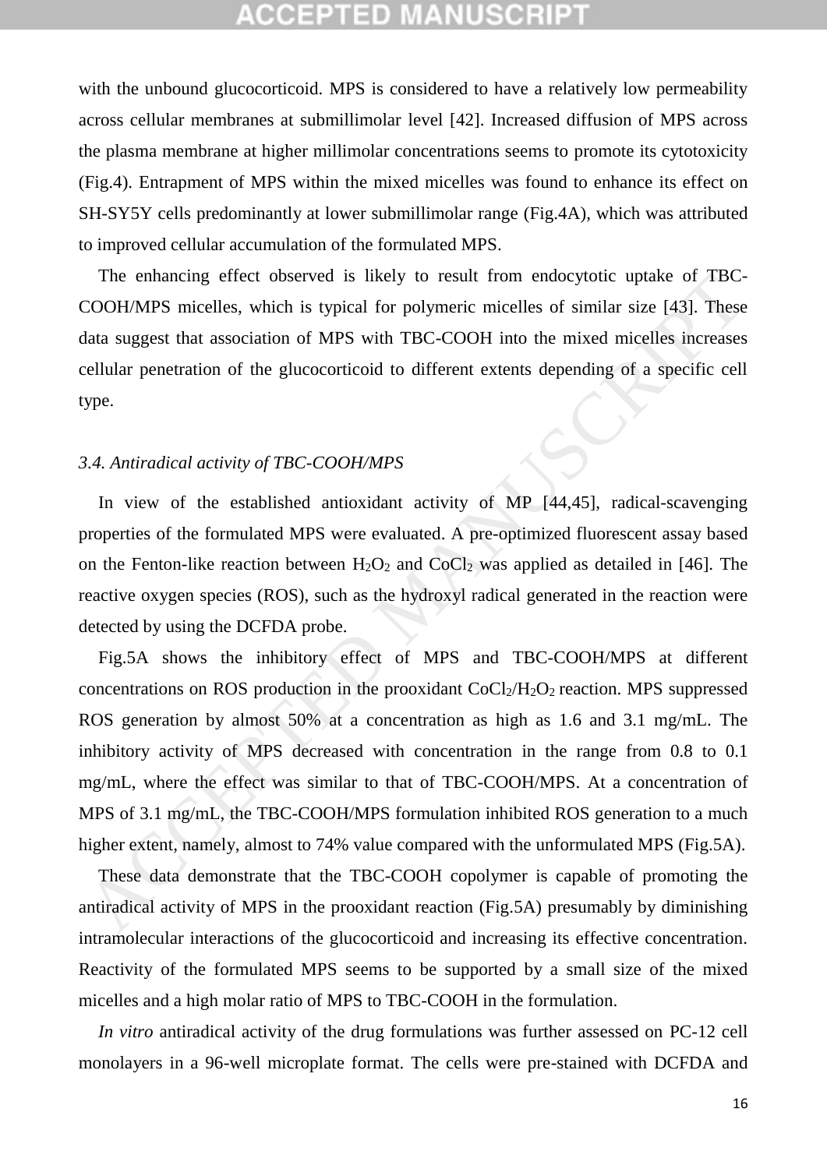with the unbound glucocorticoid. MPS is considered to have a relatively low permeability across cellular membranes at submillimolar level [42]. Increased diffusion of MPS across the plasma membrane at higher millimolar concentrations seems to promote its cytotoxicity (Fig.4). Entrapment of MPS within the mixed micelles was found to enhance its effect on SH-SY5Y cells predominantly at lower submillimolar range (Fig.4A), which was attributed to improved cellular accumulation of the formulated MPS.

The enhancing effect observed is likely to result from endocytotic uptake of TBC-COOH/MPS micelles, which is typical for polymeric micelles of similar size [43]. These data suggest that association of MPS with TBC-COOH into the mixed micelles increases cellular penetration of the glucocorticoid to different extents depending of a specific cell type.

#### *3.4. Antiradical activity of TBC-COOH/MPS*

In view of the established antioxidant activity of MP [44,45], radical-scavenging properties of the formulated MPS were evaluated. A pre-optimized fluorescent assay based on the Fenton-like reaction between  $H_2O_2$  and  $CoCl_2$  was applied as detailed in [46]. The reactive oxygen species (ROS), such as the hydroxyl radical generated in the reaction were detected by using the DCFDA probe.

Fig.5A shows the inhibitory effect of MPS and TBC-COOH/MPS at different concentrations on ROS production in the prooxidant  $CoCl<sub>2</sub>/H<sub>2</sub>O<sub>2</sub>$  reaction. MPS suppressed ROS generation by almost 50% at a concentration as high as 1.6 and 3.1 mg/mL. The inhibitory activity of MPS decreased with concentration in the range from 0.8 to 0.1 mg/mL, where the effect was similar to that of TBC-COOH/MPS. At a concentration of MPS of 3.1 mg/mL, the TBC-COOH/MPS formulation inhibited ROS generation to a much higher extent, namely, almost to 74% value compared with the unformulated MPS (Fig.5A). The enhancing effect observed is likely to result from endocytotic uptake of TBC-<br>COOH/MPS micelles, which is typical for polymeric micelles of similar size [43]. These<br>tax suggest that association of MPS with TBC-COOH int

These data demonstrate that the TBC-COOH copolymer is capable of promoting the antiradical activity of MPS in the prooxidant reaction (Fig.5A) presumably by diminishing intramolecular interactions of the glucocorticoid and increasing its effective concentration. Reactivity of the formulated MPS seems to be supported by a small size of the mixed micelles and a high molar ratio of MPS to TBC-COOH in the formulation.

*In vitro* antiradical activity of the drug formulations was further assessed on PC-12 cell monolayers in a 96-well microplate format. The cells were pre-stained with DCFDA and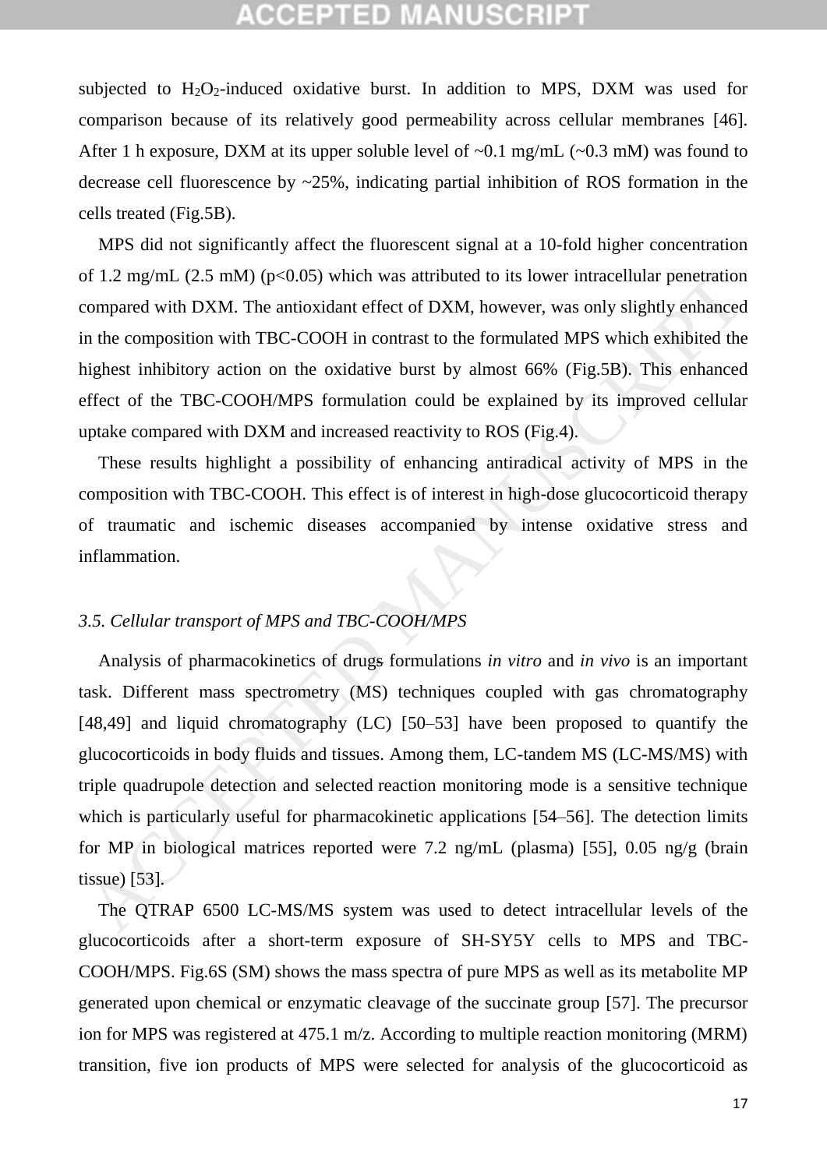subjected to  $H_2O_2$ -induced oxidative burst. In addition to MPS, DXM was used for comparison because of its relatively good permeability across cellular membranes [46]. After 1 h exposure, DXM at its upper soluble level of  $\sim 0.1$  mg/mL ( $\sim 0.3$  mM) was found to decrease cell fluorescence by ~25%, indicating partial inhibition of ROS formation in the cells treated (Fig.5B).

MPS did not significantly affect the fluorescent signal at a 10-fold higher concentration of 1.2 mg/mL (2.5 mM) ( $p<0.05$ ) which was attributed to its lower intracellular penetration compared with DXM. The antioxidant effect of DXM, however, was only slightly enhanced in the composition with TBC-COOH in contrast to the formulated MPS which exhibited the highest inhibitory action on the oxidative burst by almost 66% (Fig.5B). This enhanced effect of the TBC-COOH/MPS formulation could be explained by its improved cellular uptake compared with DXM and increased reactivity to ROS (Fig.4).

These results highlight a possibility of enhancing antiradical activity of MPS in the composition with TBC-COOH. This effect is of interest in high-dose glucocorticoid therapy of traumatic and ischemic diseases accompanied by intense oxidative stress and inflammation.

### *3.5. Cellular transport of MPS and TBC-COOH/MPS*

Analysis of pharmacokinetics of drugs formulations *in vitro* and *in vivo* is an important task. Different mass spectrometry (MS) techniques coupled with gas chromatography [48,49] and liquid chromatography (LC) [50–53] have been proposed to quantify the glucocorticoids in body fluids and tissues. Among them, LC-tandem MS (LC-MS/MS) with triple quadrupole detection and selected reaction monitoring mode is a sensitive technique which is particularly useful for pharmacokinetic applications [54–56]. The detection limits for MP in biological matrices reported were 7.2 ng/mL (plasma) [55], 0.05 ng/g (brain tissue) [53]. If 1.2 mg/mL (2.5 mM) (p<0.05) which was attributed to its lower intracellular penetration<br>compared with DXM. The antioxidan effect of DXM, however, was only slightly enhanced<br>in the composition with TBC-COOH in contrast

The QTRAP 6500 LC-MS/MS system was used to detect intracellular levels of the glucocorticoids after a short-term exposure of SH-SY5Y cells to MPS and TBC-COOH/MPS. Fig.6S (SM) shows the mass spectra of pure MPS as well as its metabolite MP generated upon chemical or enzymatic cleavage of the succinate group [57]. The precursor ion for MPS was registered at 475.1 m/z. According to multiple reaction monitoring (MRM) transition, five ion products of MPS were selected for analysis of the glucocorticoid as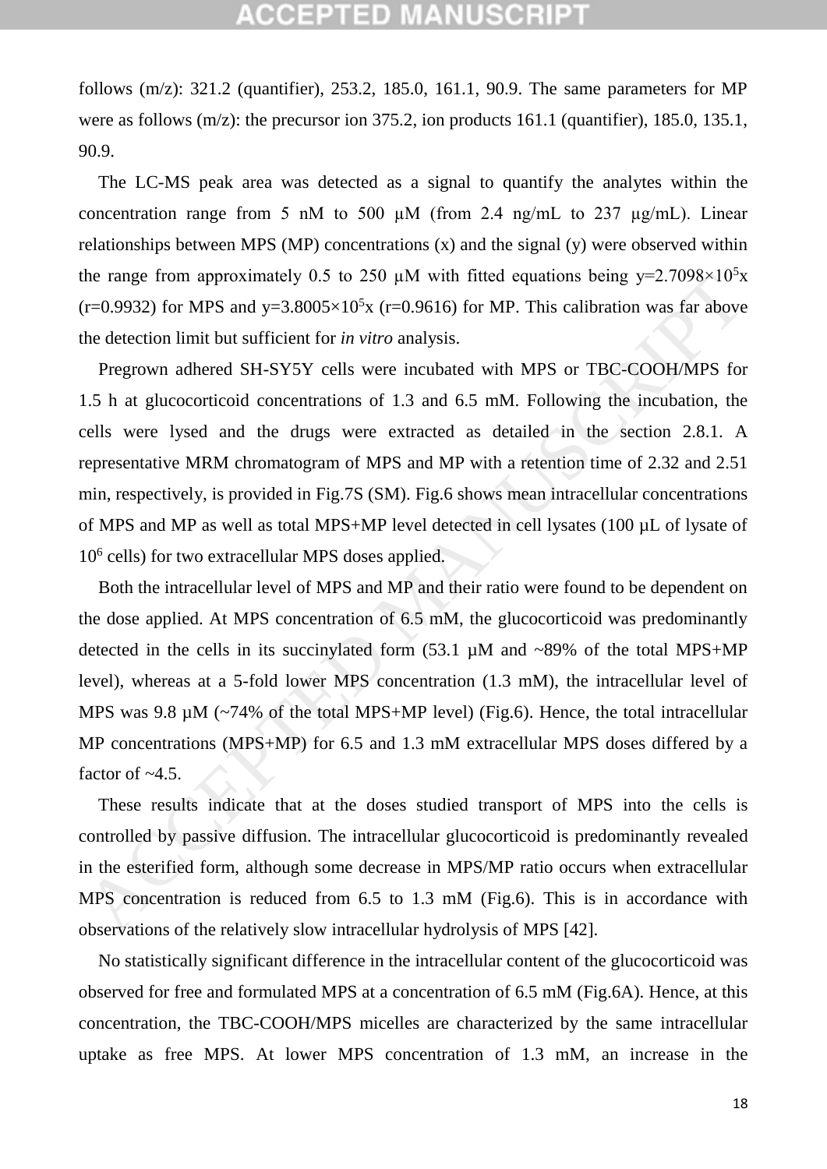follows (m/z): 321.2 (quantifier), 253.2, 185.0, 161.1, 90.9. The same parameters for MP were as follows (m/z): the precursor ion 375.2, ion products 161.1 (quantifier), 185.0, 135.1, 90.9.

The LC-MS peak area was detected as a signal to quantify the analytes within the concentration range from 5 nM to 500  $\mu$ M (from 2.4 ng/mL to 237  $\mu$ g/mL). Linear relationships between MPS (MP) concentrations (x) and the signal (y) were observed within the range from approximately 0.5 to 250  $\mu$ M with fitted equations being y=2.7098×10<sup>5</sup>x (r=0.9932) for MPS and y=3.8005×10<sup>5</sup>x (r=0.9616) for MP. This calibration was far above the detection limit but sufficient for *in vitro* analysis.

Pregrown adhered SH-SY5Y cells were incubated with MPS or TBC-COOH/MPS for 1.5 h at glucocorticoid concentrations of 1.3 and 6.5 mM. Following the incubation, the cells were lysed and the drugs were extracted as detailed in the section 2.8.1. A representative MRM chromatogram of MPS and MP with a retention time of 2.32 and 2.51 min, respectively, is provided in Fig.7S (SM). Fig.6 shows mean intracellular concentrations of MPS and MP as well as total MPS+MP level detected in cell lysates (100 µL of lysate of 10<sup>6</sup> cells) for two extracellular MPS doses applied. In the state of MPS and NPS (32 and MPS in The state of MPS in the celusion of  $r=0.9932$ ) for MPS and y=3.8005×10°x (r=0.9616) for MP. This calibration was far above  $r=0.9932$ ) for MPS and y=3.8005×10°x (r=0.9616) for

Both the intracellular level of MPS and MP and their ratio were found to be dependent on the dose applied. At MPS concentration of 6.5 mM, the glucocorticoid was predominantly detected in the cells in its succinylated form (53.1 µM and ~89% of the total MPS+MP level), whereas at a 5-fold lower MPS concentration (1.3 mM), the intracellular level of MPS was 9.8  $\mu$ M (~74% of the total MPS+MP level) (Fig.6). Hence, the total intracellular MP concentrations (MPS+MP) for 6.5 and 1.3 mM extracellular MPS doses differed by a factor of  $~4.5$ .

These results indicate that at the doses studied transport of MPS into the cells is controlled by passive diffusion. The intracellular glucocorticoid is predominantly revealed in the esterified form, although some decrease in MPS/MP ratio occurs when extracellular MPS concentration is reduced from 6.5 to 1.3 mM (Fig.6). This is in accordance with observations of the relatively slow intracellular hydrolysis of MPS [42].

No statistically significant difference in the intracellular content of the glucocorticoid was observed for free and formulated MPS at a concentration of 6.5 mM (Fig.6A). Hence, at this concentration, the TBC-COOH/MPS micelles are characterized by the same intracellular uptake as free MPS. At lower MPS concentration of 1.3 mM, an increase in the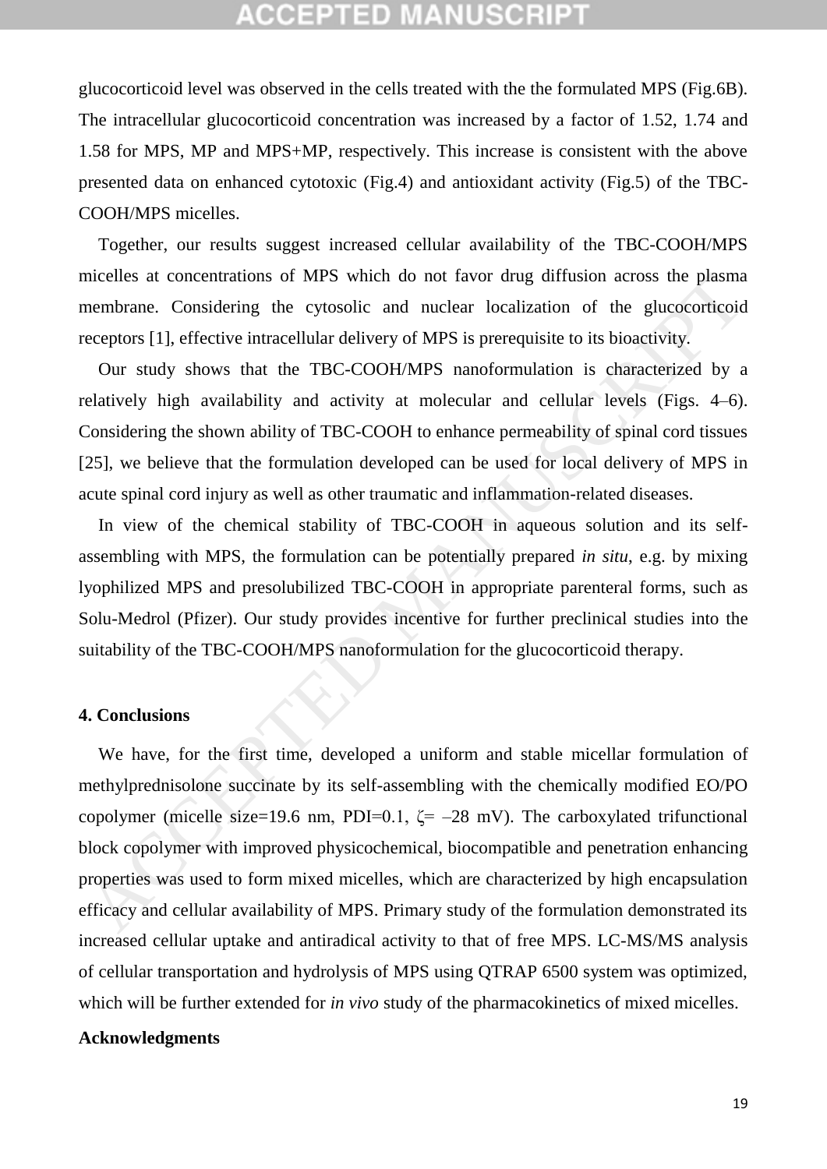glucocorticoid level was observed in the cells treated with the the formulated MPS (Fig.6B). The intracellular glucocorticoid concentration was increased by a factor of 1.52, 1.74 and 1.58 for MPS, MP and MPS+MP, respectively. This increase is consistent with the above presented data on enhanced cytotoxic (Fig.4) and antioxidant activity (Fig.5) of the TBC-COOH/MPS micelles.

Together, our results suggest increased cellular availability of the TBC-COOH/MPS micelles at concentrations of MPS which do not favor drug diffusion across the plasma membrane. Considering the cytosolic and nuclear localization of the glucocorticoid receptors [1], effective intracellular delivery of MPS is prerequisite to its bioactivity.

Our study shows that the TBC-COOH/MPS nanoformulation is characterized by a relatively high availability and activity at molecular and cellular levels (Figs. 4–6). Considering the shown ability of TBC-COOH to enhance permeability of spinal cord tissues [25], we believe that the formulation developed can be used for local delivery of MPS in acute spinal cord injury as well as other traumatic and inflammation-related diseases.

In view of the chemical stability of TBC-COOH in aqueous solution and its selfassembling with MPS, the formulation can be potentially prepared *in situ*, e.g. by mixing lyophilized MPS and presolubilized TBC-COOH in appropriate parenteral forms, such as Solu-Medrol (Pfizer). Our study provides incentive for further preclinical studies into the suitability of the TBC-COOH/MPS nanoformulation for the glucocorticoid therapy.

#### **4. Conclusions**

We have, for the first time, developed a uniform and stable micellar formulation of methylprednisolone succinate by its self-assembling with the chemically modified EO/PO copolymer (micelle size=19.6 nm, PDI=0.1,  $\zeta$ = -28 mV). The carboxylated trifunctional block copolymer with improved physicochemical, biocompatible and penetration enhancing properties was used to form mixed micelles, which are characterized by high encapsulation efficacy and cellular availability of MPS. Primary study of the formulation demonstrated its increased cellular uptake and antiradical activity to that of free MPS. LC-MS/MS analysis of cellular transportation and hydrolysis of MPS using QTRAP 6500 system was optimized, which will be further extended for *in vivo* study of the pharmacokinetics of mixed micelles. nucelles at concentrations of MPS which do not favor drug diffusion across the plasman<br>embrane. Considering the cytosolic and nuclear localization of the glucocordicoic<br>ecceptors [1], effective intracellular delivery of M

### **Acknowledgments**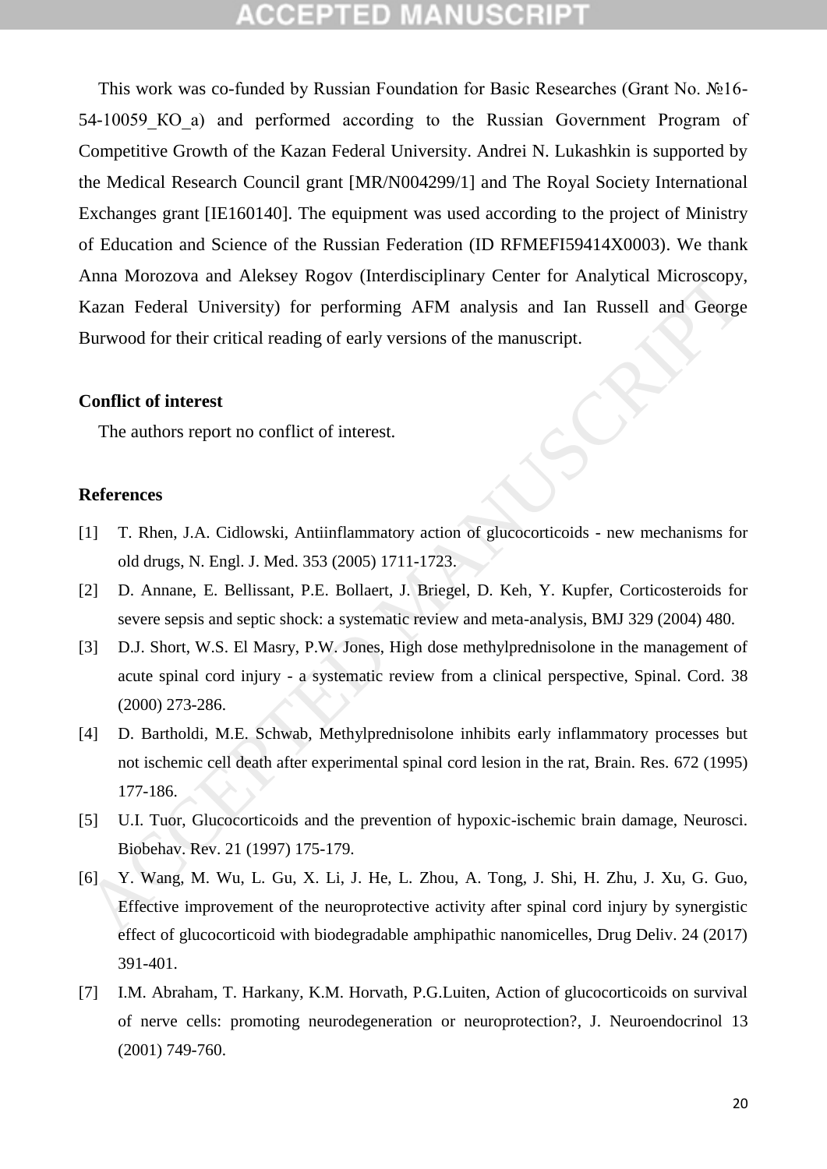## CCEPTED M

This work was co-funded by Russian Foundation for Basic Researches (Grant No. №16- 54-10059 KO a) and performed according to the Russian Government Program of Competitive Growth of the Kazan Federal University. Andrei N. Lukashkin is supported by the Medical Research Council grant [MR/N004299/1] and The Royal Society International Exchanges grant [IE160140]. The equipment was used according to the project of Ministry of Education and Science of the Russian Federation (ID RFMEFI59414X0003). We thank Anna Morozova and Aleksey Rogov (Interdisciplinary Center for Analytical Microscopy, Kazan Federal University) for performing AFM analysis and Ian Russell and George Burwood for their critical reading of early versions of the manuscript. Anna Morozova and Aleksey Rogov (Interdisciplinary Center for Analytical Microscopy<br>
Kazan Federal University) for performing AFM analysis and Ian Russell and George<br>
Burwood for their critical reading of early versions of

#### **Conflict of interest**

The authors report no conflict of interest.

#### **References**

- [1] T. Rhen, J.A. Cidlowski, Antiinflammatory action of glucocorticoids new mechanisms for old drugs, N. Engl. J. Med. 353 (2005) 1711-1723.
- [2] D. Annane, E. Bellissant, P.E. Bollaert, J. Briegel, D. Keh, Y. Kupfer, Corticosteroids for severe sepsis and septic shock: a systematic review and meta-analysis, BMJ 329 (2004) 480.
- [3] D.J. Short, W.S. El Masry, P.W. Jones, High dose methylprednisolone in the management of acute spinal cord injury - a systematic review from a clinical perspective, Spinal. Cord. 38 (2000) 273-286.
- [4] D. Bartholdi, M.E. Schwab, Methylprednisolone inhibits early inflammatory processes but not ischemic cell death after experimental spinal cord lesion in the rat, Brain. Res. 672 (1995) 177-186.
- [5] U.I. Tuor, Glucocorticoids and the prevention of hypoxic-ischemic brain damage, Neurosci. Biobehav. Rev. 21 (1997) 175-179.
- [6] Y. Wang, M. Wu, L. Gu, X. Li, J. He, L. Zhou, A. Tong, J. Shi, H. Zhu, J. Xu, G. Guo, Effective improvement of the neuroprotective activity after spinal cord injury by synergistic effect of glucocorticoid with biodegradable amphipathic nanomicelles, Drug Deliv. 24 (2017) 391-401.
- [7] I.M. Abraham, T. Harkany, K.M. Horvath, P.G.Luiten, Action of glucocorticoids on survival of nerve cells: promoting neurodegeneration or neuroprotection?, J. Neuroendocrinol 13 (2001) 749-760.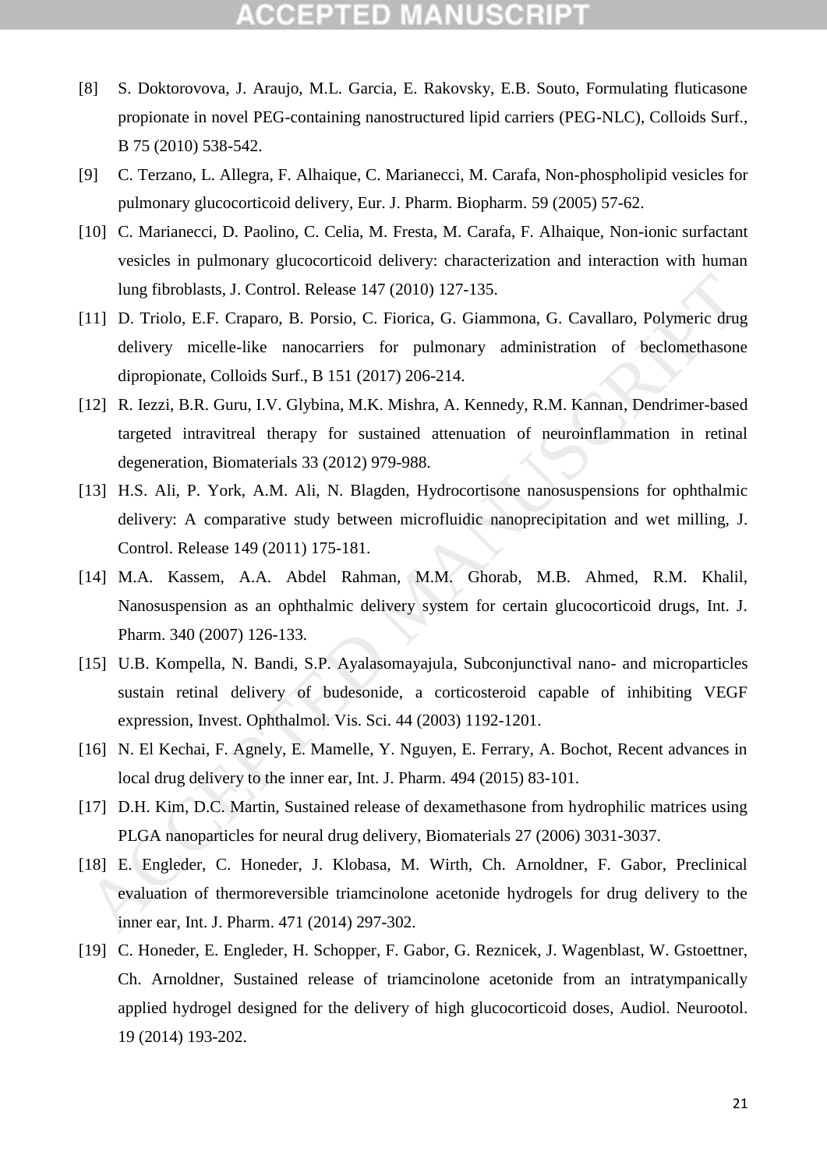- [8] S. Doktorovova, J. Araujo, M.L. Garcia, E. Rakovsky, E.B. Souto, Formulating fluticasone propionate in novel PEG-containing nanostructured lipid carriers (PEG-NLC), Colloids Surf., B 75 (2010) 538-542.
- [9] C. Terzano, L. Allegra, F. Alhaique, C. Marianecci, M. Carafa, Non-phospholipid vesicles for pulmonary glucocorticoid delivery, Eur. J. Pharm. Biopharm. 59 (2005) 57-62.
- [10] C. Marianecci, D. Paolino, C. Celia, M. Fresta, M. Carafa, F. Alhaique, Non-ionic surfactant vesicles in pulmonary glucocorticoid delivery: characterization and interaction with human lung fibroblasts, J. Control. Release 147 (2010) 127-135.
- [11] D. Triolo, E.F. Craparo, B. Porsio, C. Fiorica, G. Giammona, G. Cavallaro, Polymeric drug delivery micelle-like nanocarriers for pulmonary administration of beclomethasone dipropionate, Colloids Surf., B 151 (2017) 206-214. Iung fibroblasts, J. Control. Release 147 (2010) 127-135.<br>
11] D. Triolo, E.F. Craparo, B. Porsio, C. Fiorica, G. Giammona, G. Cavallaro, Polymeric drug deivery micelle-like nanocariers for pulmonary administration of becl
- [12] R. Iezzi, B.R. Guru, I.V. Glybina, M.K. Mishra, A. Kennedy, R.M. Kannan, Dendrimer-based targeted intravitreal therapy for sustained attenuation of neuroinflammation in retinal degeneration, Biomaterials 33 (2012) 979-988.
- [13] H.S. Ali, P. York, A.M. Ali, N. Blagden, Hydrocortisone nanosuspensions for ophthalmic delivery: A comparative study between microfluidic nanoprecipitation and wet milling, J. Control. Release 149 (2011) 175-181.
- [14] M.A. Kassem, A.A. Abdel Rahman, M.M. Ghorab, M.B. Ahmed, R.M. Khalil, Nanosuspension as an ophthalmic delivery system for certain glucocorticoid drugs, Int. J. Pharm. 340 (2007) 126-133.
- [15] U.B. Kompella, N. Bandi, S.P. Ayalasomayajula, Subconjunctival nano- and microparticles sustain retinal delivery of budesonide, a corticosteroid capable of inhibiting VEGF expression, Invest. Ophthalmol. Vis. Sci. 44 (2003) 1192-1201.
- [16] N. El Kechai, F. Agnely, E. Mamelle, Y. Nguyen, E. Ferrary, A. Bochot, Recent advances in local drug delivery to the inner ear, Int. J. Pharm. 494 (2015) 83-101.
- [17] D.H. Kim, D.C. Martin, Sustained release of dexamethasone from hydrophilic matrices using PLGA nanoparticles for neural drug delivery, Biomaterials 27 (2006) 3031-3037.
- [18] E. Engleder, C. Honeder, J. Klobasa, M. Wirth, Ch. Arnoldner, F. Gabor, Preclinical evaluation of thermoreversible triamcinolone acetonide hydrogels for drug delivery to the inner ear, Int. J. Pharm. 471 (2014) 297-302.
- [19] C. Honeder, E. Engleder, H. Schopper, F. Gabor, G. Reznicek, J. Wagenblast, W. Gstoettner, Ch. Arnoldner, Sustained release of triamcinolone acetonide from an intratympanically applied hydrogel designed for the delivery of high glucocorticoid doses, Audiol. Neurootol. 19 (2014) 193-202.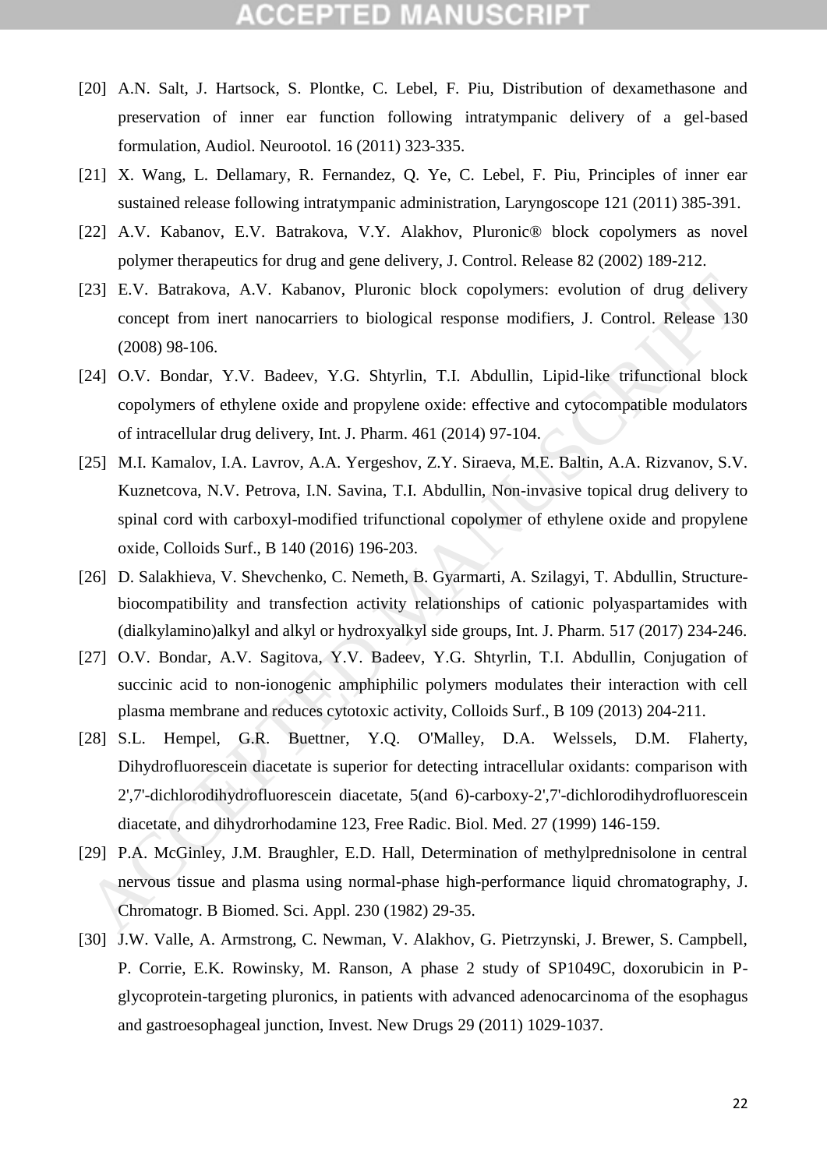- [20] A.N. Salt, J. Hartsock, S. Plontke, C. Lebel, F. Piu, Distribution of dexamethasone and preservation of inner ear function following intratympanic delivery of a gel-based formulation, Audiol. Neurootol. 16 (2011) 323-335.
- [21] X. Wang, L. Dellamary, R. Fernandez, Q. Ye, C. Lebel, F. Piu, Principles of inner ear sustained release following intratympanic administration, Laryngoscope 121 (2011) 385-391.
- [22] A.V. Kabanov, E.V. Batrakova, V.Y. Alakhov, Pluronic® block copolymers as novel polymer therapeutics for drug and gene delivery, J. Control. Release 82 (2002) 189-212.
- [23] E.V. Batrakova, A.V. Kabanov, Pluronic block copolymers: evolution of drug delivery concept from inert nanocarriers to biological response modifiers, J. Control. Release 130 (2008) 98-106.
- [24] O.V. Bondar, Y.V. Badeev, Y.G. Shtyrlin, T.I. Abdullin, Lipid-like trifunctional block copolymers of ethylene oxide and propylene oxide: effective and cytocompatible modulators of intracellular drug delivery, Int. J. Pharm. 461 (2014) 97-104.
- [25] M.I. Kamalov, I.A. Lavrov, A.A. Yergeshov, Z.Y. Siraeva, M.E. Baltin, A.A. Rizvanov, S.V. Kuznetcova, N.V. Petrova, I.N. Savina, T.I. Abdullin, Non-invasive topical drug delivery to spinal cord with carboxyl-modified trifunctional copolymer of ethylene oxide and propylene oxide, Colloids Surf., B 140 (2016) 196-203.
- [26] D. Salakhieva, V. Shevchenko, C. Nemeth, B. Gyarmarti, A. Szilagyi, T. Abdullin, Structurebiocompatibility and transfection activity relationships of cationic polyaspartamides with (dialkylamino)alkyl and alkyl or hydroxyalkyl side groups, Int. J. Pharm. 517 (2017) 234-246.
- [27] O.V. Bondar, A.V. Sagitova, Y.V. Badeev, Y.G. Shtyrlin, T.I. Abdullin, Conjugation of succinic acid to non-ionogenic amphiphilic polymers modulates their interaction with cell plasma membrane and reduces cytotoxic activity, Colloids Surf., B 109 (2013) 204-211.
- [28] S.L. Hempel, G.R. Buettner, Y.Q. O'Malley, D.A. Welssels, D.M. Flaherty, Dihydrofluorescein diacetate is superior for detecting intracellular oxidants: comparison with 2',7'-dichlorodihydrofluorescein diacetate, 5(and 6)-carboxy-2',7'-dichlorodihydrofluorescein diacetate, and dihydrorhodamine 123, Free Radic. Biol. Med. 27 (1999) 146-159. 23] E.V. Butrakova, A.V. Kabanov, Pluronic block copolymers: evolution of drug delivery<br>
concept from inert nanocarriers to biological response modifiers, J. Control. Release 130<br>
(2008) 98-106.<br>
241 O.V. Bondar, Y.V. Bad
- [29] P.A. McGinley, J.M. Braughler, E.D. Hall, Determination of methylprednisolone in central nervous tissue and plasma using normal-phase high-performance liquid chromatography, J. Chromatogr. B Biomed. Sci. Appl. 230 (1982) 29-35.
- [30] J.W. Valle, A. Armstrong, C. Newman, V. Alakhov, G. Pietrzynski, J. Brewer, S. Campbell, P. Corrie, E.K. Rowinsky, M. Ranson, A phase 2 study of SP1049C, doxorubicin in Pglycoprotein-targeting pluronics, in patients with advanced adenocarcinoma of the esophagus and gastroesophageal junction, Invest. New Drugs 29 (2011) 1029-1037.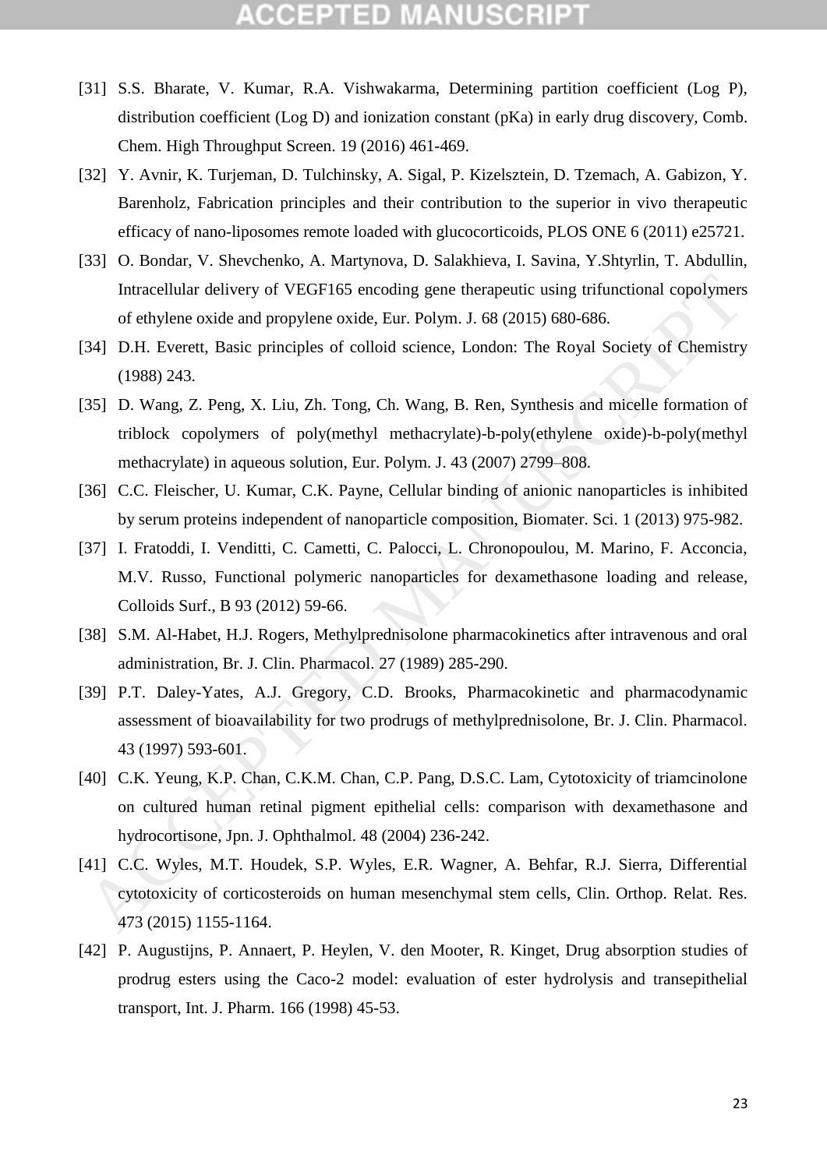- [31] S.S. Bharate, V. Kumar, R.A. Vishwakarma, Determining partition coefficient (Log P), distribution coefficient (Log D) and ionization constant (pKa) in early drug discovery, Comb. Chem. High Throughput Screen. 19 (2016) 461-469.
- [32] Y. Avnir, K. Turjeman, D. Tulchinsky, A. Sigal, P. Kizelsztein, D. Tzemach, A. Gabizon, Y. Barenholz, Fabrication principles and their contribution to the superior in vivo therapeutic efficacy of nano-liposomes remote loaded with glucocorticoids, PLOS ONE 6 (2011) e25721.
- [33] O. Bondar, V. Shevchenko, A. Martynova, D. Salakhieva, I. Savina, Y.Shtyrlin, T. Abdullin, Intracellular delivery of VEGF165 encoding gene therapeutic using trifunctional copolymers of ethylene oxide and propylene oxide, Eur. Polym. J. 68 (2015) 680-686.
- [34] D.H. Everett, Basic principles of colloid science, London: The Royal Society of Chemistry (1988) 243.
- [35] D. Wang, Z. Peng, X. Liu, Zh. Tong, Ch. Wang, B. Ren, Synthesis and micelle formation of triblock copolymers of poly(methyl methacrylate)-b-poly(ethylene oxide)-b-poly(methyl methacrylate) in aqueous solution, Eur. Polym. J. 43 (2007) 2799–808.
- [36] C.C. Fleischer, U. Kumar, C.K. Payne, Cellular binding of anionic nanoparticles is inhibited by serum proteins independent of nanoparticle composition, Biomater. Sci. 1 (2013) 975-982.
- [37] I. Fratoddi, I. Venditti, C. Cametti, C. Palocci, L. Chronopoulou, M. Marino, F. Acconcia, M.V. Russo, Functional polymeric nanoparticles for dexamethasone loading and release, Colloids Surf., B 93 (2012) 59-66.
- [38] S.M. Al-Habet, H.J. Rogers, Methylprednisolone pharmacokinetics after intravenous and oral administration, Br. J. Clin. Pharmacol. 27 (1989) 285-290.
- [39] P.T. Daley-Yates, A.J. Gregory, C.D. Brooks, Pharmacokinetic and pharmacodynamic assessment of bioavailability for two prodrugs of methylprednisolone, Br. J. Clin. Pharmacol. 43 (1997) 593-601.
- [40] C.K. Yeung, K.P. Chan, C.K.M. Chan, C.P. Pang, D.S.C. Lam, Cytotoxicity of triamcinolone on cultured human retinal pigment epithelial cells: comparison with dexamethasone and hydrocortisone, Jpn. J. Ophthalmol. 48 (2004) 236-242.
- [41] C.C. Wyles, M.T. Houdek, S.P. Wyles, E.R. Wagner, A. Behfar, R.J. Sierra, Differential cytotoxicity of corticosteroids on human mesenchymal stem cells, Clin. Orthop. Relat. Res. 473 (2015) 1155-1164. Intracellular delivery of VEGF165 encoding gene therapeutic using trilunctional copolymers<br>
of ethylene oxide and propylene oxide, Eur. Polym. J. 68 (2015) 680-686.<br>
341 D.H. Everett, Basic principles of colloid science, L
- [42] P. Augustijns, P. Annaert, P. Heylen, V. den Mooter, R. Kinget, Drug absorption studies of prodrug esters using the Caco-2 model: evaluation of ester hydrolysis and transepithelial transport, Int. J. Pharm. 166 (1998) 45-53.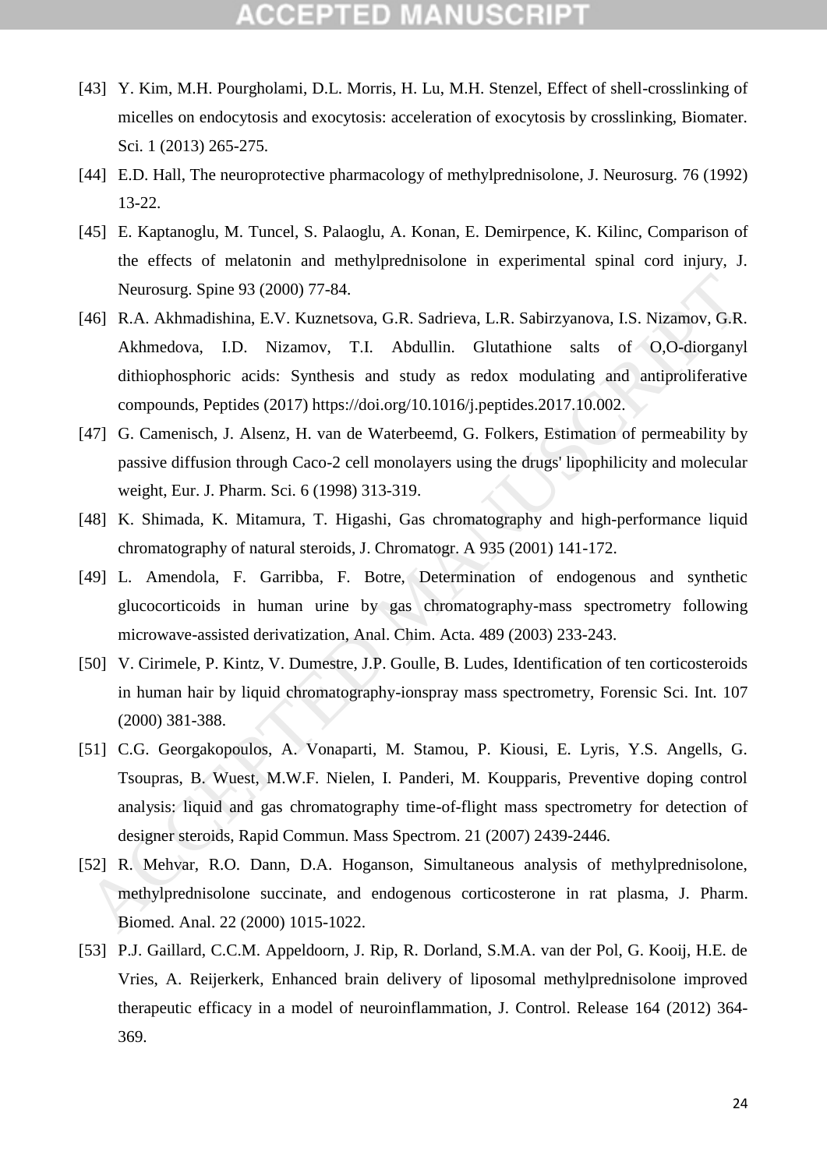- [43] Y. Kim, M.H. Pourgholami, D.L. Morris, H. Lu, M.H. Stenzel, Effect of shell-crosslinking of micelles on endocytosis and exocytosis: acceleration of exocytosis by crosslinking, Biomater. Sci. 1 (2013) 265-275.
- [44] E.D. Hall, The neuroprotective pharmacology of methylprednisolone, J. Neurosurg. 76 (1992) 13-22.
- [45] E. Kaptanoglu, M. Tuncel, S. Palaoglu, A. Konan, E. Demirpence, K. Kilinc, Comparison of the effects of melatonin and methylprednisolone in experimental spinal cord injury, J. Neurosurg. Spine 93 (2000) 77-84.
- [46] R.A. Akhmadishina, E.V. Kuznetsova, G.R. Sadrieva, L.R. Sabirzyanova, I.S. Nizamov, G.R. Akhmedova, I.D. Nizamov, T.I. Abdullin. Glutathione salts of O,O-diorganyl dithiophosphoric acids: Synthesis and study as redox modulating and antiproliferative compounds, Peptides (2017) https://doi.org/10.1016/j.peptides.2017.10.002.
- [47] G. Camenisch, J. Alsenz, H. van de Waterbeemd, G. Folkers, Estimation of permeability by passive diffusion through Caco-2 cell monolayers using the drugs' lipophilicity and molecular weight, Eur. J. Pharm. Sci. 6 (1998) 313-319.
- [48] K. Shimada, K. Mitamura, T. Higashi, Gas chromatography and high-performance liquid chromatography of natural steroids, J. Chromatogr. A 935 (2001) 141-172.
- [49] L. Amendola, F. Garribba, F. Botre, Determination of endogenous and synthetic glucocorticoids in human urine by gas chromatography-mass spectrometry following microwave-assisted derivatization, Anal. Chim. Acta. 489 (2003) 233-243.
- [50] V. Cirimele, P. Kintz, V. Dumestre, J.P. Goulle, B. Ludes, Identification of ten corticosteroids in human hair by liquid chromatography-ionspray mass spectrometry, Forensic Sci. Int. 107 (2000) 381-388.
- [51] C.G. Georgakopoulos, A. Vonaparti, M. Stamou, P. Kiousi, E. Lyris, Y.S. Angells, G. Tsoupras, B. Wuest, M.W.F. Nielen, I. Panderi, M. Koupparis, Preventive doping control analysis: liquid and gas chromatography time-of-flight mass spectrometry for detection of designer steroids, Rapid Commun. Mass Spectrom. 21 (2007) 2439-2446. Neurosurg. Spine 93 (2000) 77-84.<br>
46] R.A. Akhmadishina, E.V. Kuznetovva, G.R. Sadrieva, L.R. Sabirzyanova, I.S. Nizamov, G.R. Akhmedova, I.D. Nizamov, T.I. Abdullin. Glurathione salts of 0.0-diorgany dihiophosphoric acid
- [52] R. Mehvar, R.O. Dann, D.A. Hoganson, Simultaneous analysis of methylprednisolone, methylprednisolone succinate, and endogenous corticosterone in rat plasma, J. Pharm. Biomed. Anal. 22 (2000) 1015-1022.
- [53] P.J. Gaillard, C.C.M. Appeldoorn, J. Rip, R. Dorland, S.M.A. van der Pol, G. Kooij, H.E. de Vries, A. Reijerkerk, Enhanced brain delivery of liposomal methylprednisolone improved therapeutic efficacy in a model of neuroinflammation, J. Control. Release 164 (2012) 364- 369.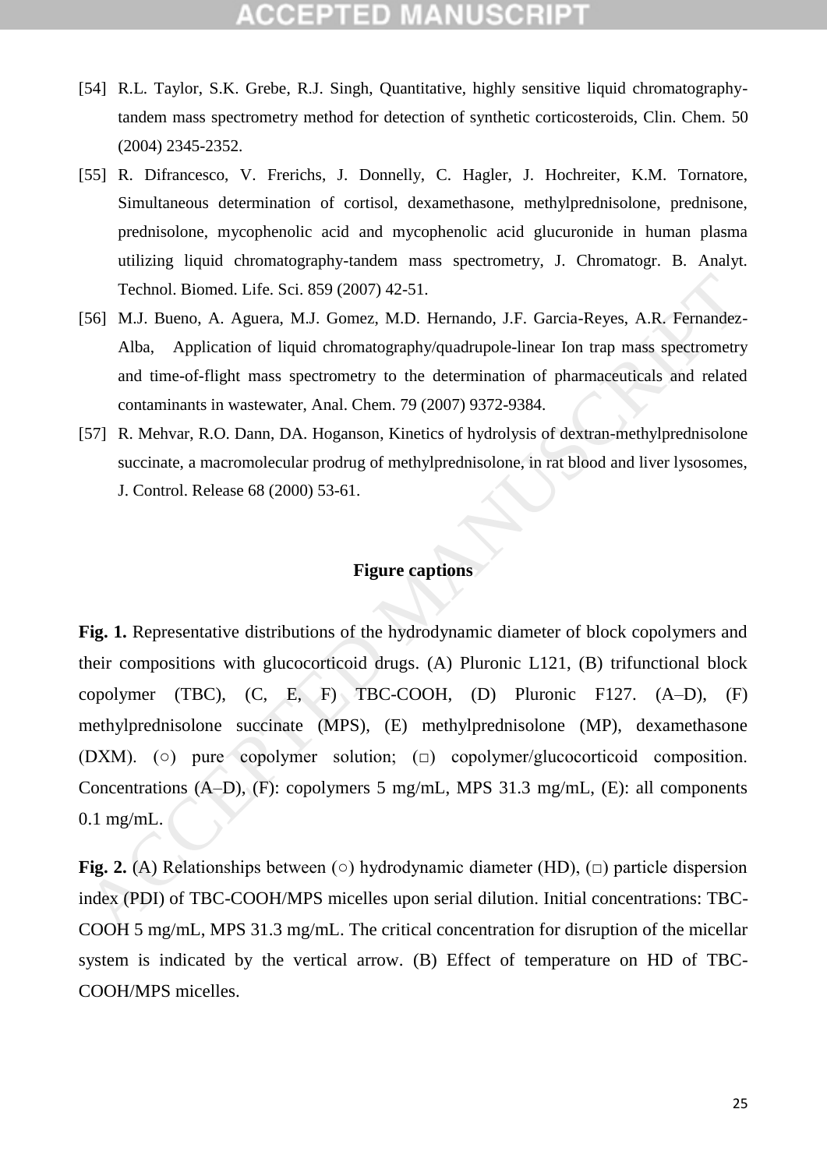## CCEPTED M

- [54] R.L. Taylor, S.K. Grebe, R.J. Singh, Quantitative, highly sensitive liquid chromatographytandem mass spectrometry method for detection of synthetic corticosteroids, Clin. Chem. 50 (2004) 2345-2352.
- [55] R. Difrancesco, V. Frerichs, J. Donnelly, C. Hagler, J. Hochreiter, K.M. Tornatore, Simultaneous determination of cortisol, dexamethasone, methylprednisolone, prednisone, prednisolone, mycophenolic acid and mycophenolic acid glucuronide in human plasma utilizing liquid chromatography-tandem mass spectrometry, J. Chromatogr. B. Analyt. Technol. Biomed. Life. Sci. 859 (2007) 42-51.
- [56] M.J. Bueno, A. Aguera, M.J. Gomez, M.D. Hernando, J.F. Garcia-Reyes, A.R. Fernandez-Alba, Application of liquid chromatography/quadrupole-linear Ion trap mass spectrometry and time-of-flight mass spectrometry to the determination of pharmaceuticals and related contaminants in wastewater, Anal. Chem. 79 (2007) 9372-9384.
- [57] R. Mehvar, R.O. Dann, DA. Hoganson, Kinetics of hydrolysis of dextran-methylprednisolone succinate, a macromolecular prodrug of methylprednisolone, in rat blood and liver lysosomes, J. Control. Release 68 (2000) 53-61.

### **Figure captions**

**Fig. 1.** Representative distributions of the hydrodynamic diameter of block copolymers and their compositions with glucocorticoid drugs. (A) Pluronic L121, (B) trifunctional block copolymer (TBC), (C, E, F) TBC-COOH, (D) Pluronic F127. (A–D), (F) methylprednisolone succinate (MPS), (E) methylprednisolone (MP), dexamethasone (DXM). (○) pure copolymer solution; (□) copolymer/glucocorticoid composition. Concentrations (A–D), (F): copolymers 5 mg/mL, MPS 31.3 mg/mL, (E): all components 0.1 mg/mL. Technol. Biomed. Life. Sci. 859 (2007) 42-51.<br>
56] M.J. Bueno, A. Aguera, M.J. Gomez, M.D. Hernando, J.F. Garcia-Reyes, A.R. Fernandez<br>
Alba, Application of liquid chromatography/quadrupole-linear lon trap mass spectromet

**Fig. 2.** (A) Relationships between (○) hydrodynamic diameter (HD), (□) particle dispersion index (PDI) of TBC-COOH/MPS micelles upon serial dilution. Initial concentrations: TBC-COOH 5 mg/mL, MPS 31.3 mg/mL. The critical concentration for disruption of the micellar system is indicated by the vertical arrow. (B) Effect of temperature on HD of TBC-COOH/MPS micelles.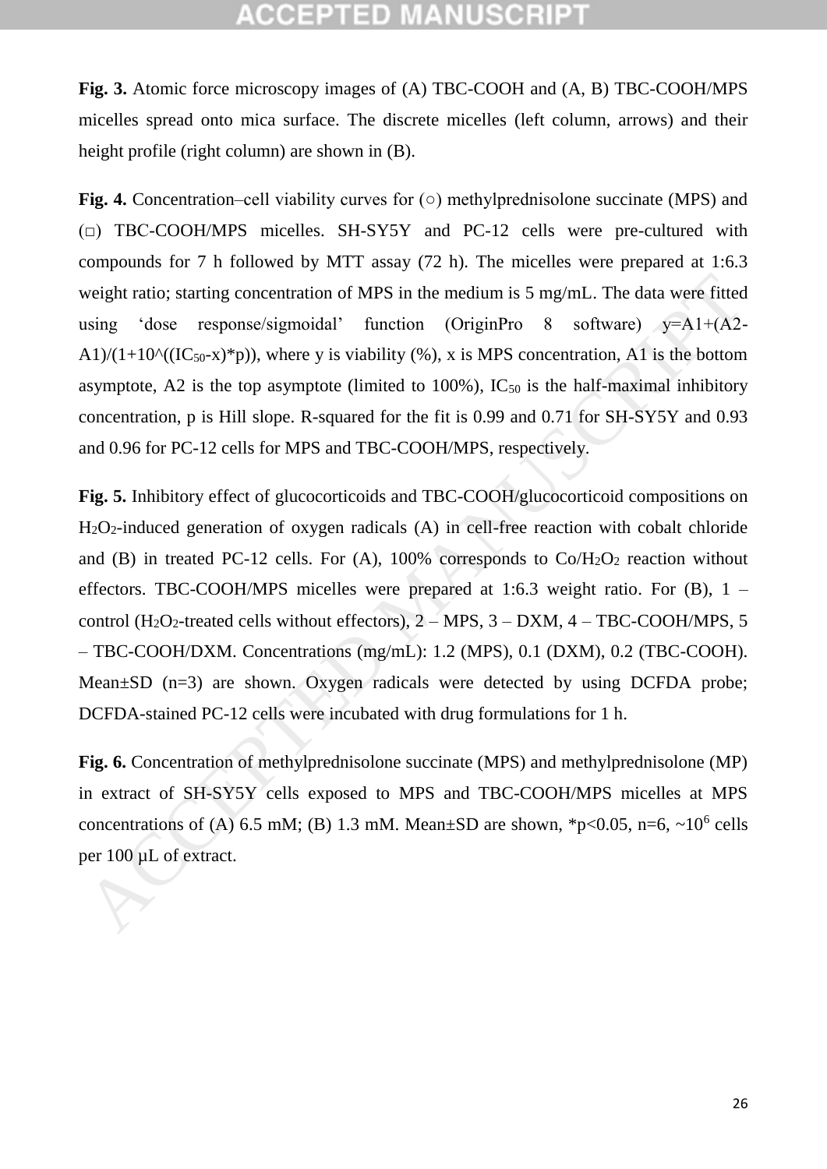**Fig. 3.** Atomic force microscopy images of (A) TBC-COOH and (A, B) TBC-COOH/MPS micelles spread onto mica surface. The discrete micelles (left column, arrows) and their height profile (right column) are shown in (B).

**Fig. 4.** Concentration–cell viability curves for (○) methylprednisolone succinate (MPS) and  $(\square)$  TBC-COOH/MPS micelles. SH-SY5Y and PC-12 cells were pre-cultured with compounds for 7 h followed by MTT assay (72 h). The micelles were prepared at 1:6.3 weight ratio; starting concentration of MPS in the medium is 5 mg/mL. The data were fitted using 'dose response/sigmoidal' function (OriginPro 8 software) y=A1+(A2- A1)/(1+10^((IC<sub>50</sub>-x)\*p)), where y is viability (%), x is MPS concentration, A1 is the bottom asymptote, A2 is the top asymptote (limited to  $100\%$ ), IC<sub>50</sub> is the half-maximal inhibitory concentration, p is Hill slope. R-squared for the fit is 0.99 and 0.71 for SH-SY5Y and 0.93 and 0.96 for PC-12 cells for MPS and TBC-COOH/MPS, respectively.

**Fig. 5.** Inhibitory effect of glucocorticoids and TBC-COOH/glucocorticoid compositions on  $H_2O_2$ -induced generation of oxygen radicals (A) in cell-free reaction with cobalt chloride and (B) in treated PC-12 cells. For (A),  $100\%$  corresponds to Co/H<sub>2</sub>O<sub>2</sub> reaction without effectors. TBC-COOH/MPS micelles were prepared at 1:6.3 weight ratio. For  $(B)$ , 1 – control (H<sub>2</sub>O<sub>2</sub>-treated cells without effectors),  $2 - MPS$ ,  $3 - DXM$ ,  $4 - TBC-COOH/MPS$ ,  $5$ – TBC-COOH/DXM. Concentrations (mg/mL): 1.2 (MPS), 0.1 (DXM), 0.2 (TBC-COOH). Mean $\pm$ SD (n=3) are shown. Oxygen radicals were detected by using DCFDA probe; DCFDA-stained PC-12 cells were incubated with drug formulations for 1 h. weight ratio; starting concentration of MPS in the medium is 5 mg/mL. The data were fitted<br>using 'dose response/sigmoidal' function (OriginPro 8 software)  $y=A1+(A2-A1)/(11+10^n((1C_{50}+x)^*p))$ , where y is viability (%), x is MPS

**Fig. 6.** Concentration of methylprednisolone succinate (MPS) and methylprednisolone (MP) in extract of SH-SY5Y cells exposed to MPS and TBC-COOH/MPS micelles at MPS concentrations of (A) 6.5 mM; (B) 1.3 mM. Mean±SD are shown, \*p<0.05, n=6,  $\sim 10^6$  cells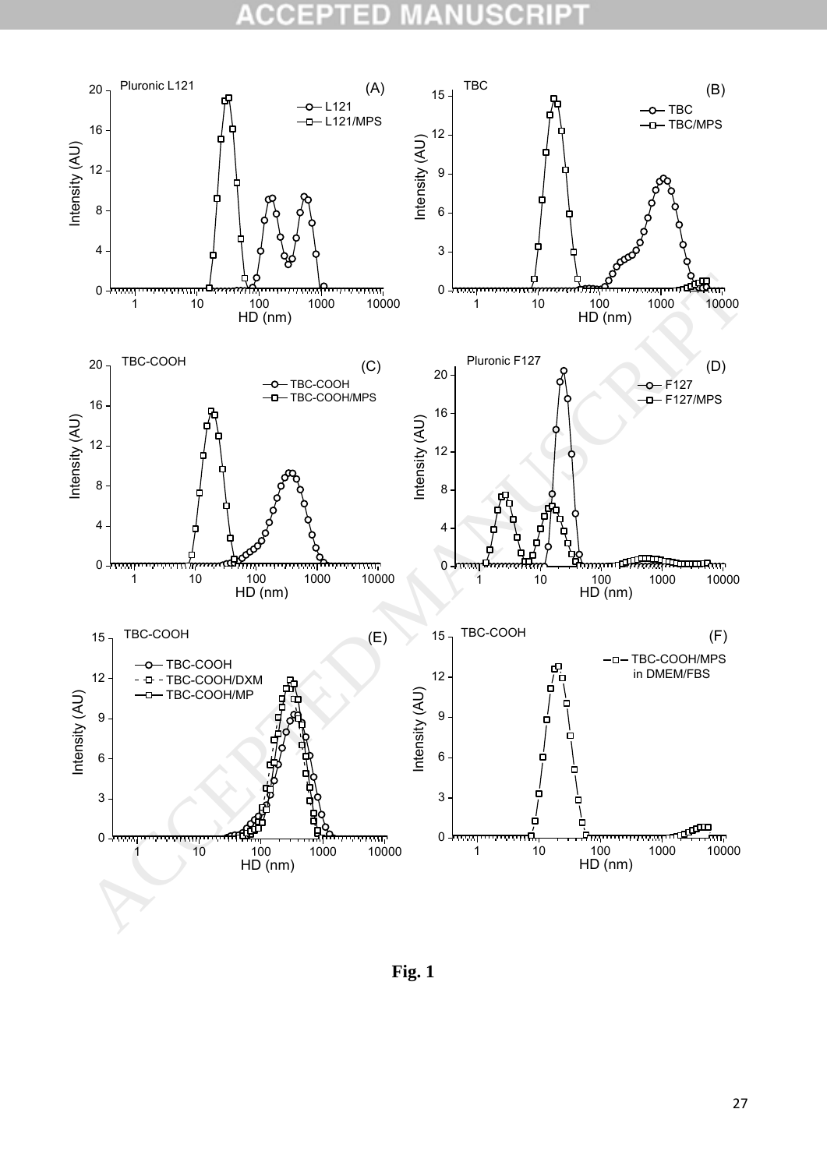#### CCE 10 B  $\blacksquare$ sc R U



**Fig. 1**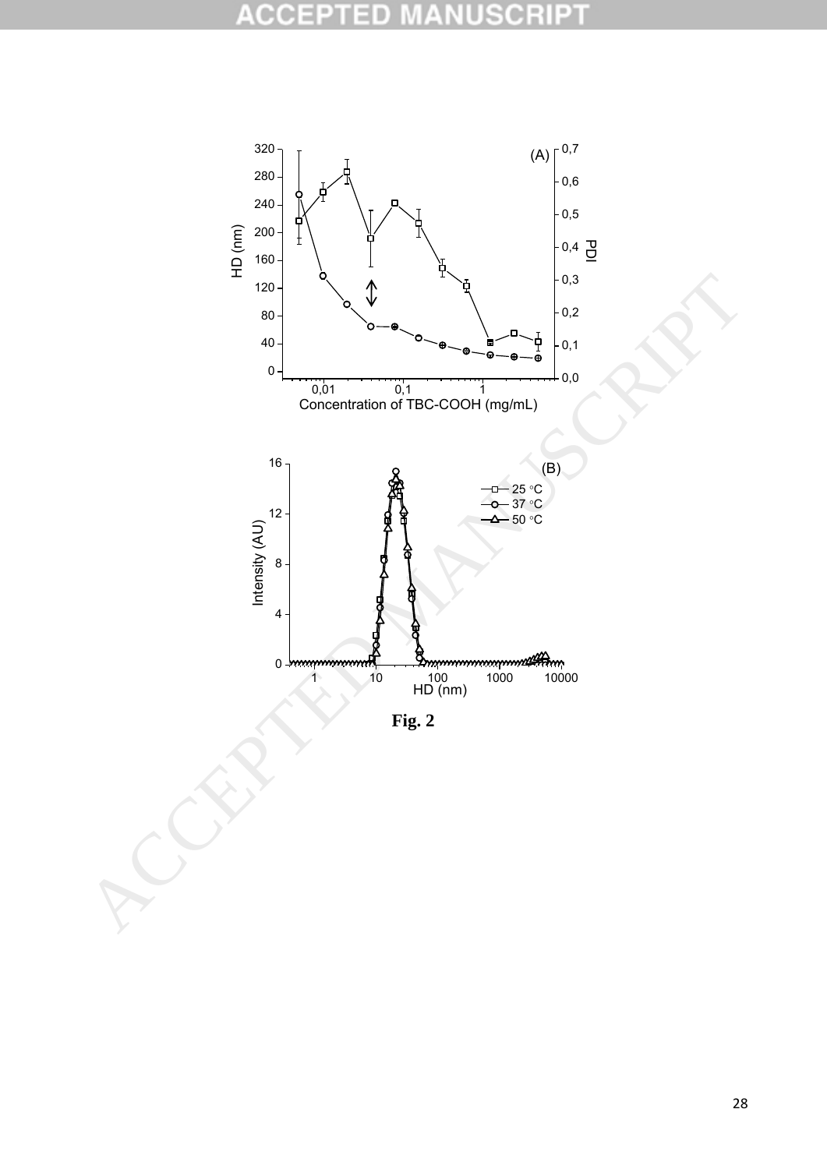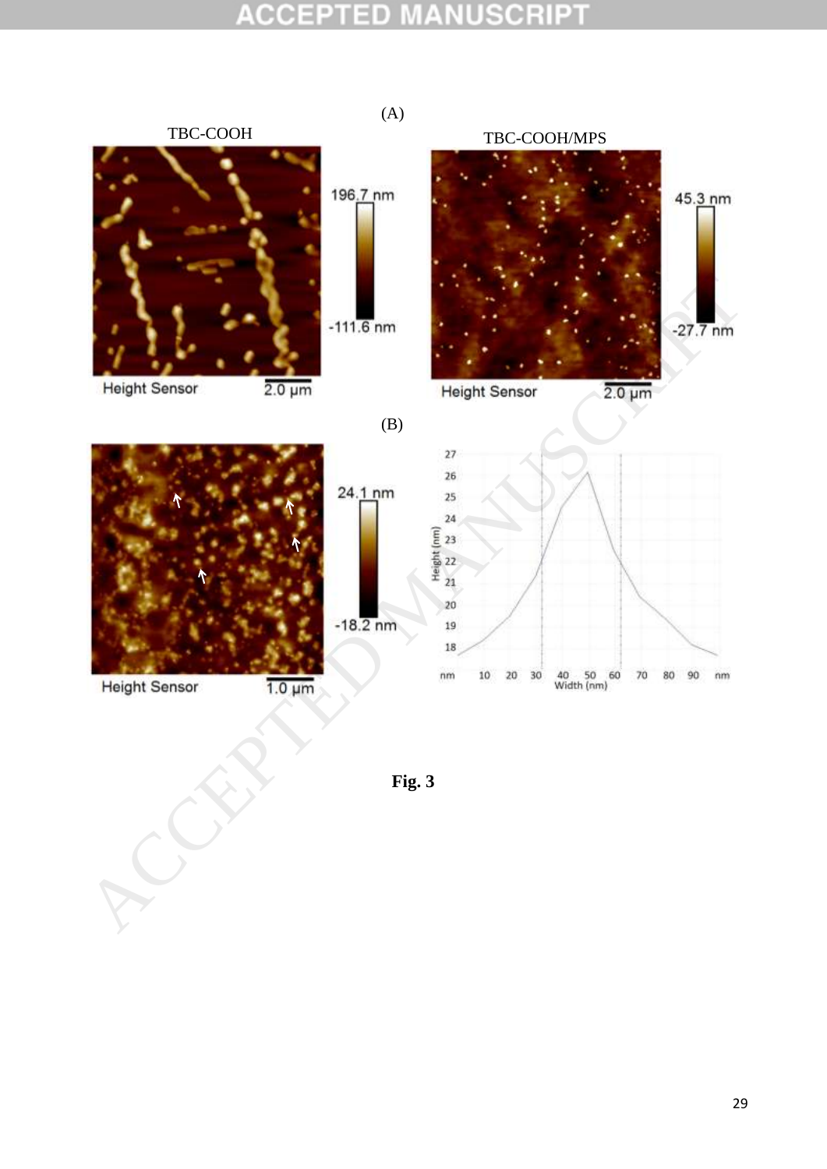

**Fig. 3**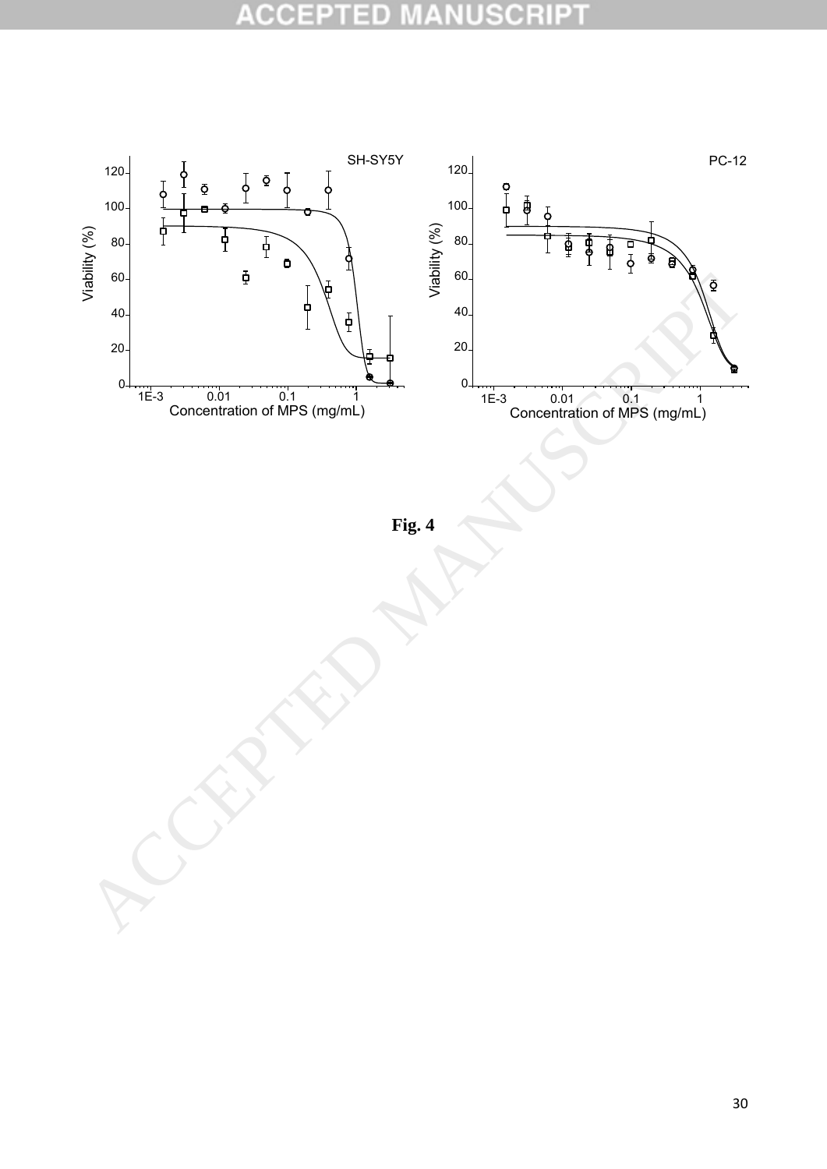#### **ACCE ISCRIPT** ΞD  $\blacksquare$ U

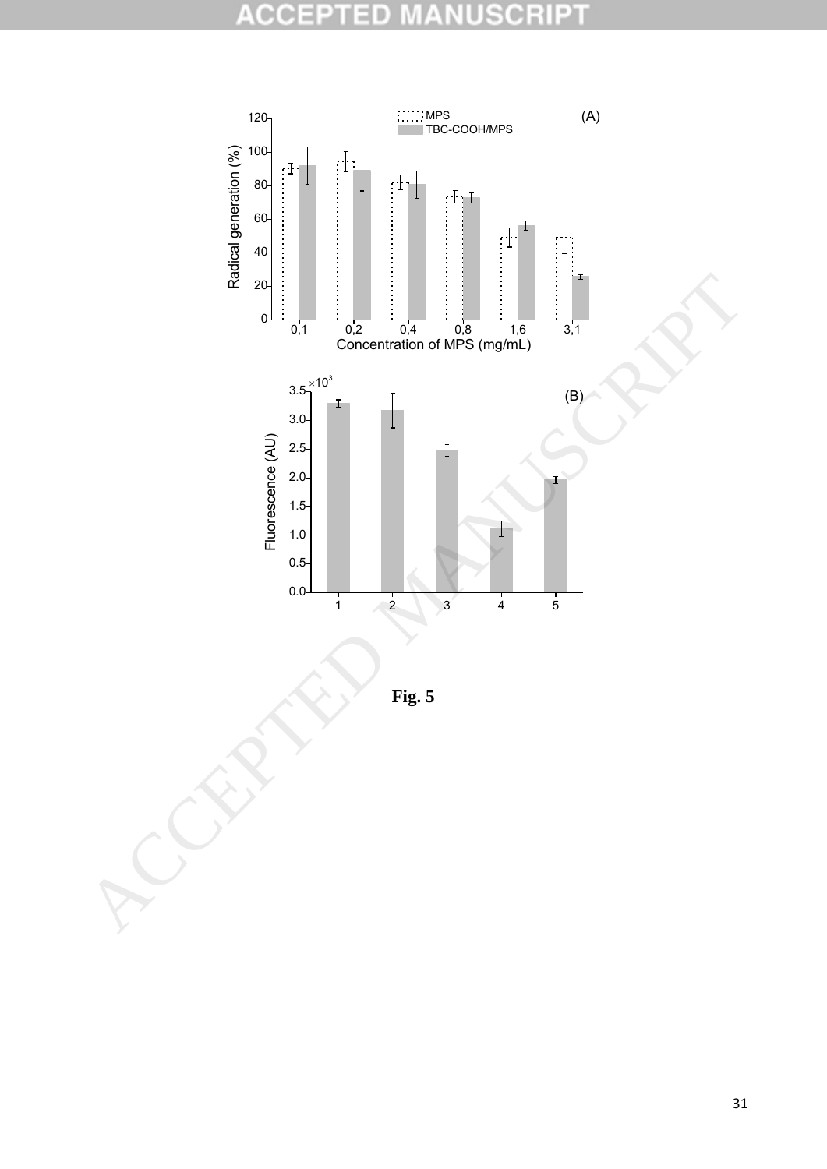#### **ACCE ISCRI** PT D B U h